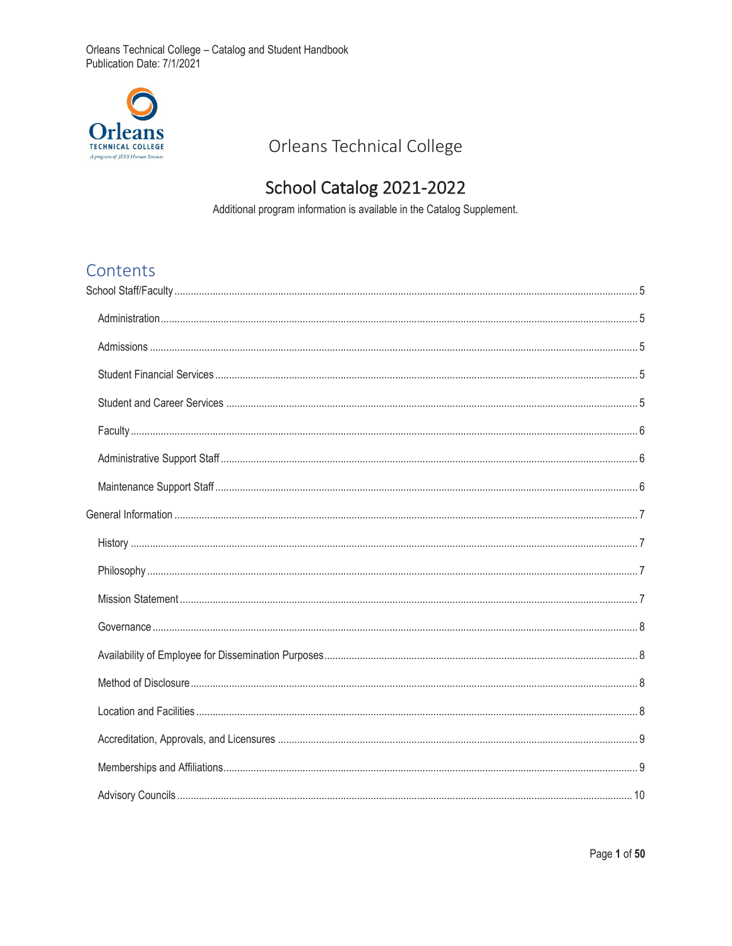

# Orleans Technical College

# School Catalog 2021-2022

Additional program information is available in the Catalog Supplement.

# Contents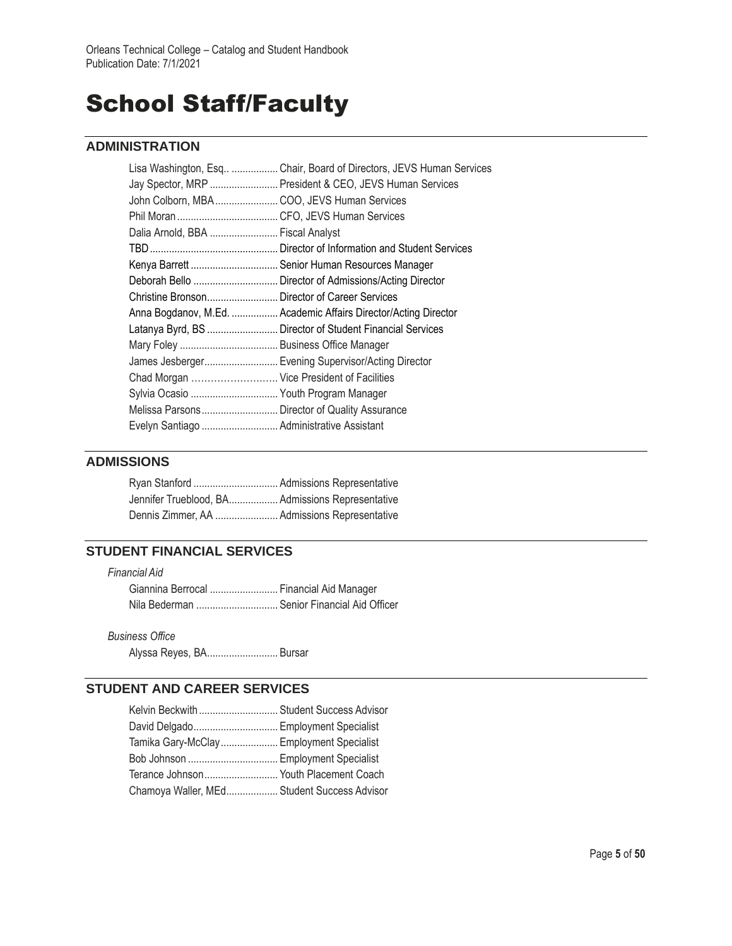# School Staff/Faculty

# **ADMINISTRATION**

| Lisa Washington, Esq  Chair, Board of Directors, JEVS Human Services |
|----------------------------------------------------------------------|
| Jay Spector, MRP  President & CEO, JEVS Human Services               |
| John Colborn, MBA  COO, JEVS Human Services                          |
|                                                                      |
| Dalia Arnold, BBA  Fiscal Analyst                                    |
|                                                                      |
| Kenya Barrett  Senior Human Resources Manager                        |
| Deborah Bello  Director of Admissions/Acting Director                |
| Christine Bronson Director of Career Services                        |
| Anna Bogdanov, M.Ed.  Academic Affairs Director/Acting Director      |
| Latanya Byrd, BS  Director of Student Financial Services             |
|                                                                      |
| James Jesberger Evening Supervisor/Acting Director                   |
| Chad Morgan  Vice President of Facilities                            |
| Sylvia Ocasio  Youth Program Manager                                 |
| Melissa Parsons Director of Quality Assurance                        |
| Evelyn Santiago  Administrative Assistant                            |
|                                                                      |

## **ADMISSIONS**

| Jennifer Trueblood, BA Admissions Representative |  |
|--------------------------------------------------|--|
| Dennis Zimmer, AA  Admissions Representative     |  |

## **STUDENT FINANCIAL SERVICES**

| Financial Aid                               |  |
|---------------------------------------------|--|
| Giannina Berrocal  Financial Aid Manager    |  |
| Nila Bederman  Senior Financial Aid Officer |  |

*Business Office*

Alyssa Reyes, BA.......................... Bursar

# **STUDENT AND CAREER SERVICES**

| Kelvin Beckwith  Student Success Advisor    |  |
|---------------------------------------------|--|
| David Delgado Employment Specialist         |  |
| Tamika Gary-McClay Employment Specialist    |  |
| Bob Johnson  Employment Specialist          |  |
| Terance Johnson Youth Placement Coach       |  |
| Chamoya Waller, MEd Student Success Advisor |  |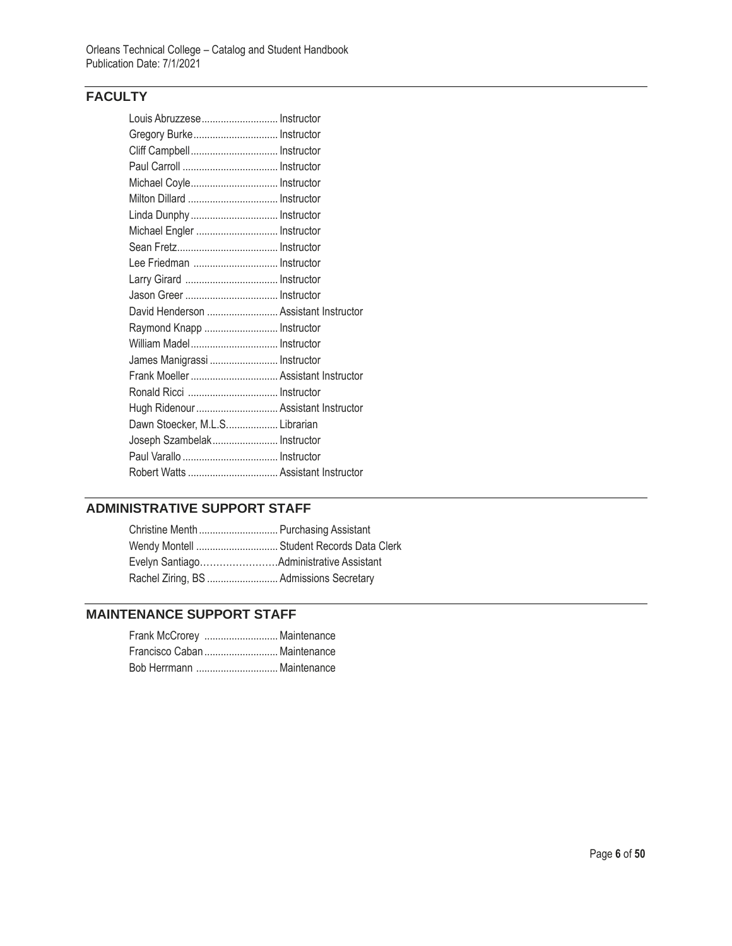# **FACULTY**

| Louis Abruzzese Instructor            |  |
|---------------------------------------|--|
| Gregory Burke Instructor              |  |
| Cliff Campbell Instructor             |  |
|                                       |  |
| Michael Coyle Instructor              |  |
| Milton Dillard  Instructor            |  |
| Linda Dunphy  Instructor              |  |
| Michael Engler  Instructor            |  |
|                                       |  |
| Lee Friedman  Instructor              |  |
| Larry Girard  Instructor              |  |
|                                       |  |
| David Henderson  Assistant Instructor |  |
| Raymond Knapp  Instructor             |  |
| William Madel Instructor              |  |
| James Manigrassi  Instructor          |  |
| Frank Moeller  Assistant Instructor   |  |
|                                       |  |
| Hugh Ridenour  Assistant Instructor   |  |
| Dawn Stoecker, M.L.S Librarian        |  |
| Joseph Szambelak Instructor           |  |
|                                       |  |
|                                       |  |

# **ADMINISTRATIVE SUPPORT STAFF**

| Christine Menth  Purchasing Assistant     |  |
|-------------------------------------------|--|
| Wendy Montell  Student Records Data Clerk |  |
|                                           |  |
|                                           |  |

# **MAINTENANCE SUPPORT STAFF**

| Frank McCrorey  Maintenance  |
|------------------------------|
| Francisco Caban  Maintenance |
| Bob Herrmann  Maintenance    |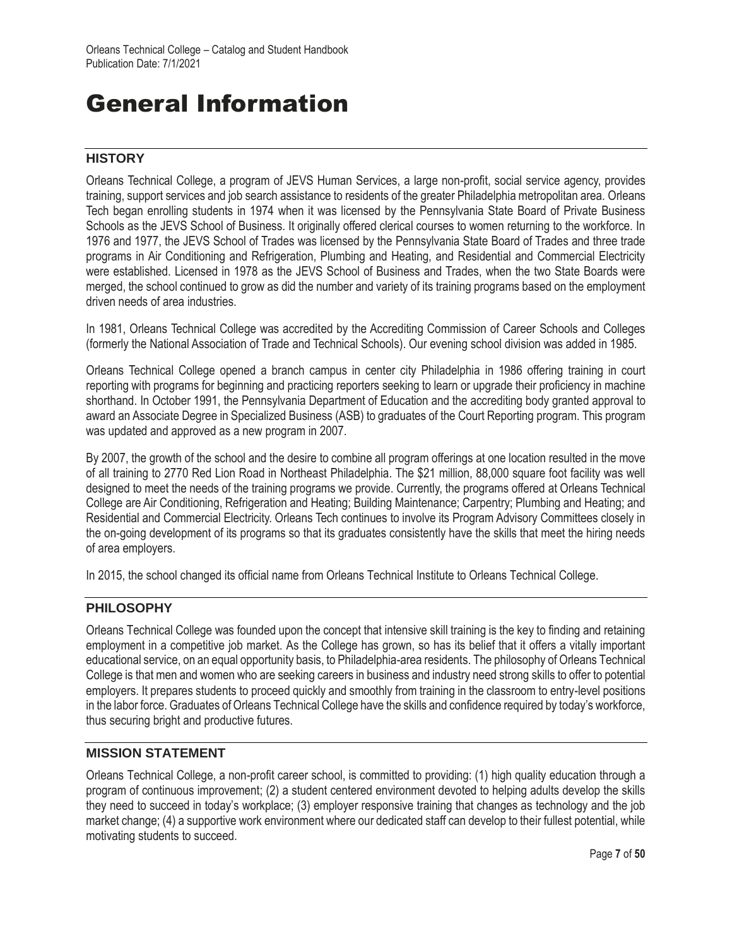# General Information

## **HISTORY**

Orleans Technical College, a program of JEVS Human Services, a large non-profit, social service agency, provides training, support services and job search assistance to residents of the greater Philadelphia metropolitan area. Orleans Tech began enrolling students in 1974 when it was licensed by the Pennsylvania State Board of Private Business Schools as the JEVS School of Business. It originally offered clerical courses to women returning to the workforce. In 1976 and 1977, the JEVS School of Trades was licensed by the Pennsylvania State Board of Trades and three trade programs in Air Conditioning and Refrigeration, Plumbing and Heating, and Residential and Commercial Electricity were established. Licensed in 1978 as the JEVS School of Business and Trades, when the two State Boards were merged, the school continued to grow as did the number and variety of its training programs based on the employment driven needs of area industries.

In 1981, Orleans Technical College was accredited by the Accrediting Commission of Career Schools and Colleges (formerly the National Association of Trade and Technical Schools). Our evening school division was added in 1985.

Orleans Technical College opened a branch campus in center city Philadelphia in 1986 offering training in court reporting with programs for beginning and practicing reporters seeking to learn or upgrade their proficiency in machine shorthand. In October 1991, the Pennsylvania Department of Education and the accrediting body granted approval to award an Associate Degree in Specialized Business (ASB) to graduates of the Court Reporting program. This program was updated and approved as a new program in 2007.

By 2007, the growth of the school and the desire to combine all program offerings at one location resulted in the move of all training to 2770 Red Lion Road in Northeast Philadelphia. The \$21 million, 88,000 square foot facility was well designed to meet the needs of the training programs we provide. Currently, the programs offered at Orleans Technical College are Air Conditioning, Refrigeration and Heating; Building Maintenance; Carpentry; Plumbing and Heating; and Residential and Commercial Electricity. Orleans Tech continues to involve its Program Advisory Committees closely in the on-going development of its programs so that its graduates consistently have the skills that meet the hiring needs of area employers.

In 2015, the school changed its official name from Orleans Technical Institute to Orleans Technical College.

## **PHILOSOPHY**

Orleans Technical College was founded upon the concept that intensive skill training is the key to finding and retaining employment in a competitive job market. As the College has grown, so has its belief that it offers a vitally important educational service, on an equal opportunity basis, to Philadelphia-area residents. The philosophy of Orleans Technical College is that men and women who are seeking careers in business and industry need strong skills to offer to potential employers. It prepares students to proceed quickly and smoothly from training in the classroom to entry-level positions in the labor force. Graduates of Orleans Technical College have the skills and confidence required by today's workforce, thus securing bright and productive futures.

### **MISSION STATEMENT**

Orleans Technical College, a non-profit career school, is committed to providing: (1) high quality education through a program of continuous improvement; (2) a student centered environment devoted to helping adults develop the skills they need to succeed in today's workplace; (3) employer responsive training that changes as technology and the job market change; (4) a supportive work environment where our dedicated staff can develop to their fullest potential, while motivating students to succeed.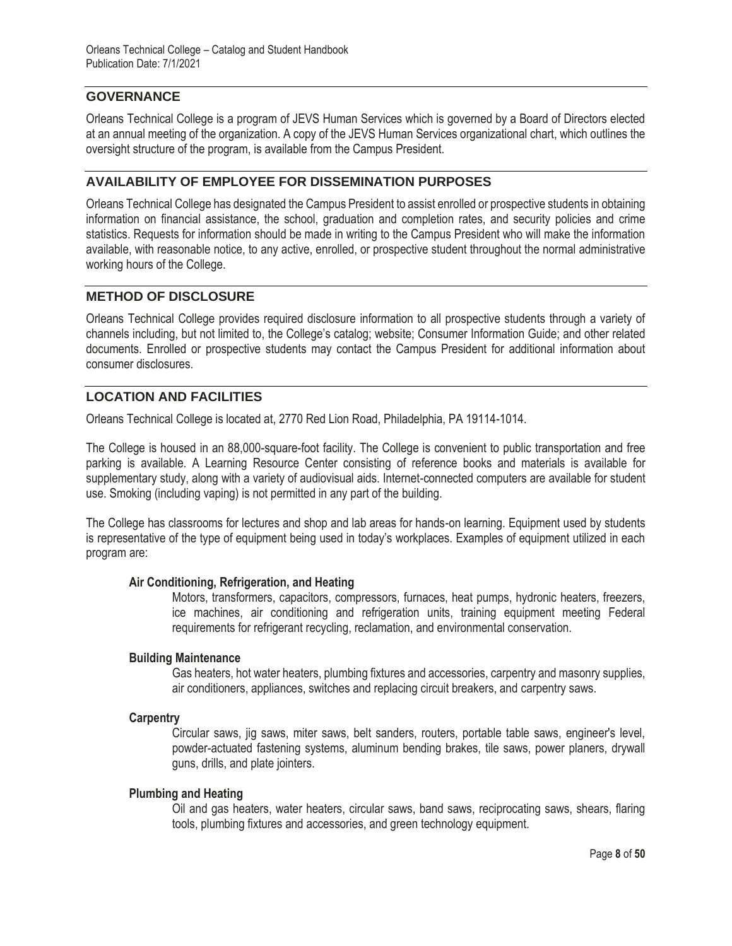## **GOVERNANCE**

Orleans Technical College is a program of JEVS Human Services which is governed by a Board of Directors elected at an annual meeting of the organization. A copy of the JEVS Human Services organizational chart, which outlines the oversight structure of the program, is available from the Campus President.

## **AVAILABILITY OF EMPLOYEE FOR DISSEMINATION PURPOSES**

Orleans Technical College has designated the Campus President to assist enrolled or prospective students in obtaining information on financial assistance, the school, graduation and completion rates, and security policies and crime statistics. Requests for information should be made in writing to the Campus President who will make the information available, with reasonable notice, to any active, enrolled, or prospective student throughout the normal administrative working hours of the College.

# **METHOD OF DISCLOSURE**

Orleans Technical College provides required disclosure information to all prospective students through a variety of channels including, but not limited to, the College's catalog; website; Consumer Information Guide; and other related documents. Enrolled or prospective students may contact the Campus President for additional information about consumer disclosures.

## **LOCATION AND FACILITIES**

Orleans Technical College is located at, 2770 Red Lion Road, Philadelphia, PA 19114-1014.

The College is housed in an 88,000-square-foot facility. The College is convenient to public transportation and free parking is available. A Learning Resource Center consisting of reference books and materials is available for supplementary study, along with a variety of audiovisual aids. Internet-connected computers are available for student use. Smoking (including vaping) is not permitted in any part of the building.

The College has classrooms for lectures and shop and lab areas for hands-on learning. Equipment used by students is representative of the type of equipment being used in today's workplaces. Examples of equipment utilized in each program are:

### **Air Conditioning, Refrigeration, and Heating**

Motors, transformers, capacitors, compressors, furnaces, heat pumps, hydronic heaters, freezers, ice machines, air conditioning and refrigeration units, training equipment meeting Federal requirements for refrigerant recycling, reclamation, and environmental conservation.

### **Building Maintenance**

Gas heaters, hot water heaters, plumbing fixtures and accessories, carpentry and masonry supplies, air conditioners, appliances, switches and replacing circuit breakers, and carpentry saws.

### **Carpentry**

Circular saws, jig saws, miter saws, belt sanders, routers, portable table saws, engineer's level, powder-actuated fastening systems, aluminum bending brakes, tile saws, power planers, drywall guns, drills, and plate jointers.

### **Plumbing and Heating**

Oil and gas heaters, water heaters, circular saws, band saws, reciprocating saws, shears, flaring tools, plumbing fixtures and accessories, and green technology equipment.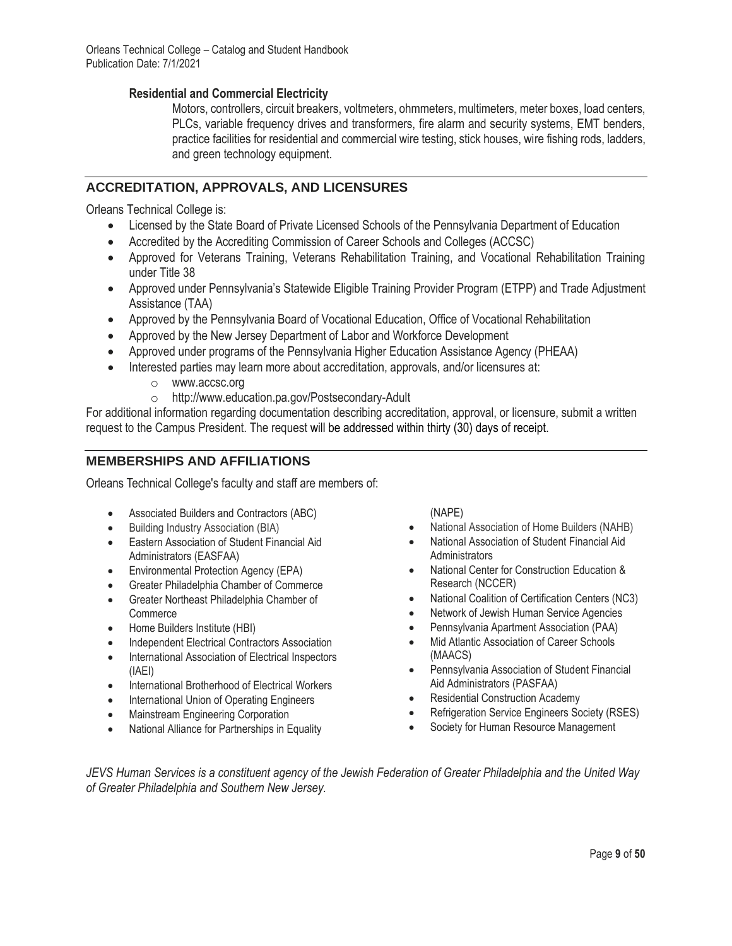## **Residential and Commercial Electricity**

Motors, controllers, circuit breakers, voltmeters, ohmmeters, multimeters, meter boxes, load centers, PLCs, variable frequency drives and transformers, fire alarm and security systems, EMT benders, practice facilities for residential and commercial wire testing, stick houses, wire fishing rods, ladders, and green technology equipment.

## **ACCREDITATION, APPROVALS, AND LICENSURES**

Orleans Technical College is:

- Licensed by the State Board of Private Licensed Schools of the Pennsylvania Department of Education
- Accredited by the Accrediting Commission of Career Schools and Colleges (ACCSC)
- Approved for Veterans Training, Veterans Rehabilitation Training, and Vocational Rehabilitation Training under Title 38
- Approved under Pennsylvania's Statewide Eligible Training Provider Program (ETPP) and Trade Adjustment Assistance (TAA)
- Approved by the Pennsylvania Board of Vocational Education, Office of Vocational Rehabilitation
- Approved by the New Jersey Department of Labor and Workforce Development
- Approved under programs of the Pennsylvania Higher Education Assistance Agency (PHEAA)
- Interested parties may learn more about accreditation, approvals, and/or licensures at:
	- o www.accsc.org
	- o http://www.education.pa.gov/Postsecondary-Adult

For additional information regarding documentation describing accreditation, approval, or licensure, submit a written request to the Campus President. The request will be addressed within thirty (30) days of receipt.

## **MEMBERSHIPS AND AFFILIATIONS**

Orleans Technical College's faculty and staff are members of:

- Associated Builders and Contractors (ABC)
- Building Industry Association (BIA)
- Eastern Association of Student Financial Aid Administrators (EASFAA)
- Environmental Protection Agency (EPA)
- Greater Philadelphia Chamber of Commerce
- Greater Northeast Philadelphia Chamber of **Commerce**
- Home Builders Institute (HBI)
- Independent Electrical Contractors Association
- International Association of Electrical Inspectors (IAEI)
- International Brotherhood of Electrical Workers
- International Union of Operating Engineers
- Mainstream Engineering Corporation
- National Alliance for Partnerships in Equality

(NAPE)

- National Association of Home Builders (NAHB)
- National Association of Student Financial Aid **Administrators**
- National Center for Construction Education & Research (NCCER)
- National Coalition of Certification Centers (NC3)
- Network of Jewish Human Service Agencies
- Pennsylvania Apartment Association (PAA)
- Mid Atlantic Association of Career Schools (MAACS)
- Pennsylvania Association of Student Financial Aid Administrators (PASFAA)
- Residential Construction Academy
- Refrigeration Service Engineers Society (RSES)
- Society for Human Resource Management

*JEVS Human Services is a constituent agency of the Jewish Federation of Greater Philadelphia and the United Way of Greater Philadelphia and Southern New Jersey.*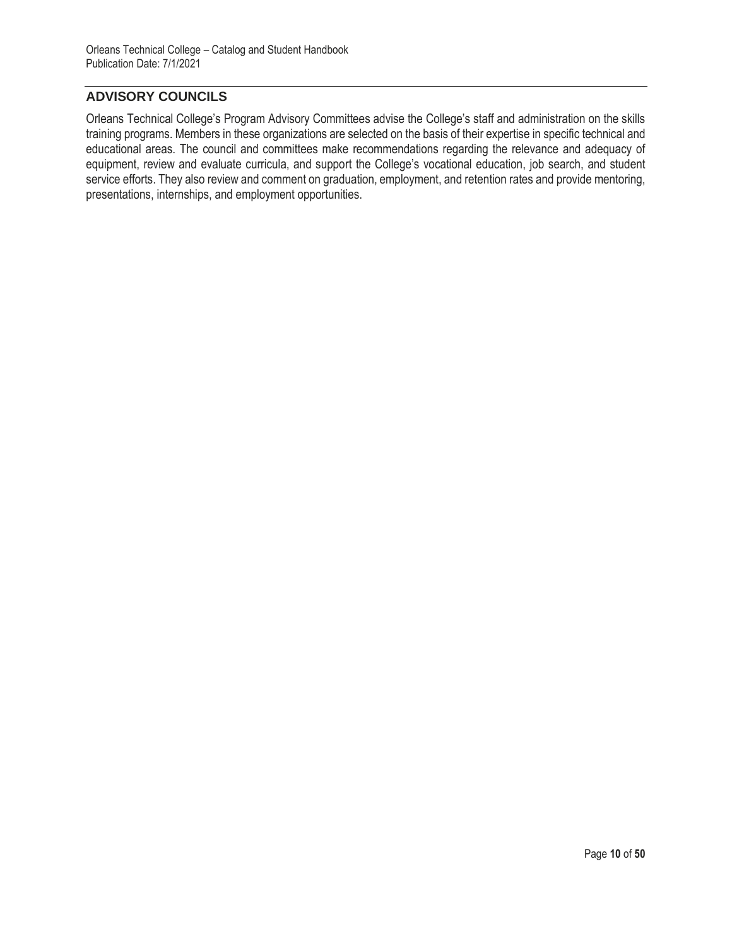# **ADVISORY COUNCILS**

Orleans Technical College's Program Advisory Committees advise the College's staff and administration on the skills training programs. Members in these organizations are selected on the basis of their expertise in specific technical and educational areas. The council and committees make recommendations regarding the relevance and adequacy of equipment, review and evaluate curricula, and support the College's vocational education, job search, and student service efforts. They also review and comment on graduation, employment, and retention rates and provide mentoring, presentations, internships, and employment opportunities.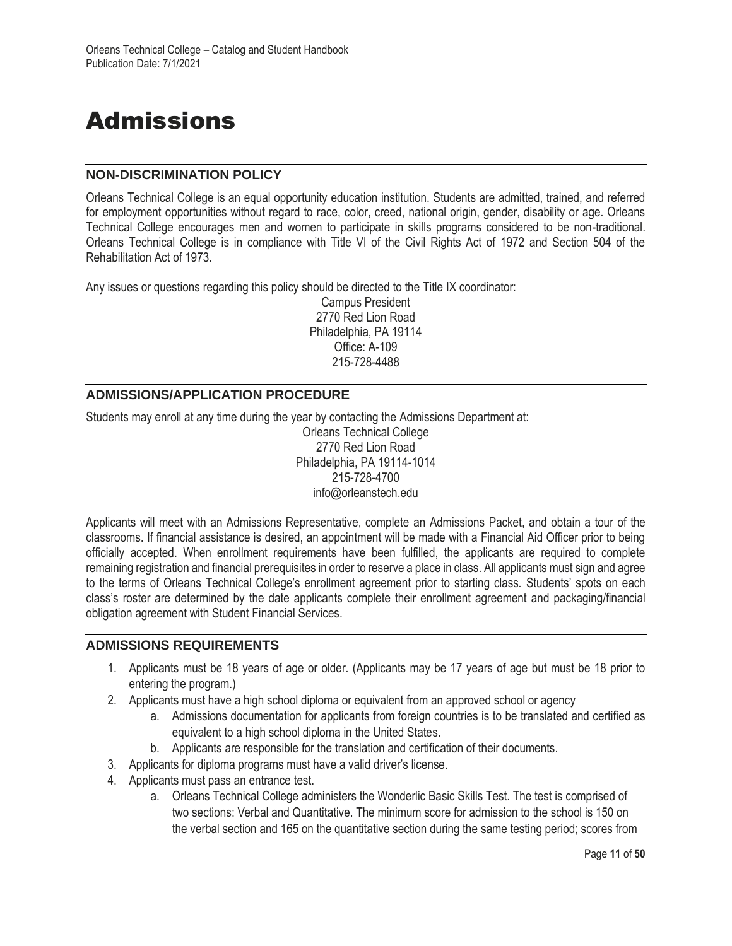# Admissions

## **NON-DISCRIMINATION POLICY**

Orleans Technical College is an equal opportunity education institution. Students are admitted, trained, and referred for employment opportunities without regard to race, color, creed, national origin, gender, disability or age. Orleans Technical College encourages men and women to participate in skills programs considered to be non-traditional. Orleans Technical College is in compliance with Title VI of the Civil Rights Act of 1972 and Section 504 of the Rehabilitation Act of 1973.

Any issues or questions regarding this policy should be directed to the Title IX coordinator:

Campus President 2770 Red Lion Road Philadelphia, PA 19114 Office: A-109 215-728-4488

## **ADMISSIONS/APPLICATION PROCEDURE**

Students may enroll at any time during the year by contacting the Admissions Department at: Orleans Technical College

2770 Red Lion Road Philadelphia, PA 19114-1014 215-728-4700 info@orleanstech.edu

Applicants will meet with an Admissions Representative, complete an Admissions Packet, and obtain a tour of the classrooms. If financial assistance is desired, an appointment will be made with a Financial Aid Officer prior to being officially accepted. When enrollment requirements have been fulfilled, the applicants are required to complete remaining registration and financial prerequisites in order to reserve a place in class. All applicants must sign and agree to the terms of Orleans Technical College's enrollment agreement prior to starting class. Students' spots on each class's roster are determined by the date applicants complete their enrollment agreement and packaging/financial obligation agreement with Student Financial Services.

## **ADMISSIONS REQUIREMENTS**

- 1. Applicants must be 18 years of age or older. (Applicants may be 17 years of age but must be 18 prior to entering the program.)
- 2. Applicants must have a high school diploma or equivalent from an approved school or agency
	- a. Admissions documentation for applicants from foreign countries is to be translated and certified as equivalent to a high school diploma in the United States.
	- b. Applicants are responsible for the translation and certification of their documents.
- 3. Applicants for diploma programs must have a valid driver's license.
- 4. Applicants must pass an entrance test.
	- a. Orleans Technical College administers the Wonderlic Basic Skills Test. The test is comprised of two sections: Verbal and Quantitative. The minimum score for admission to the school is 150 on the verbal section and 165 on the quantitative section during the same testing period; scores from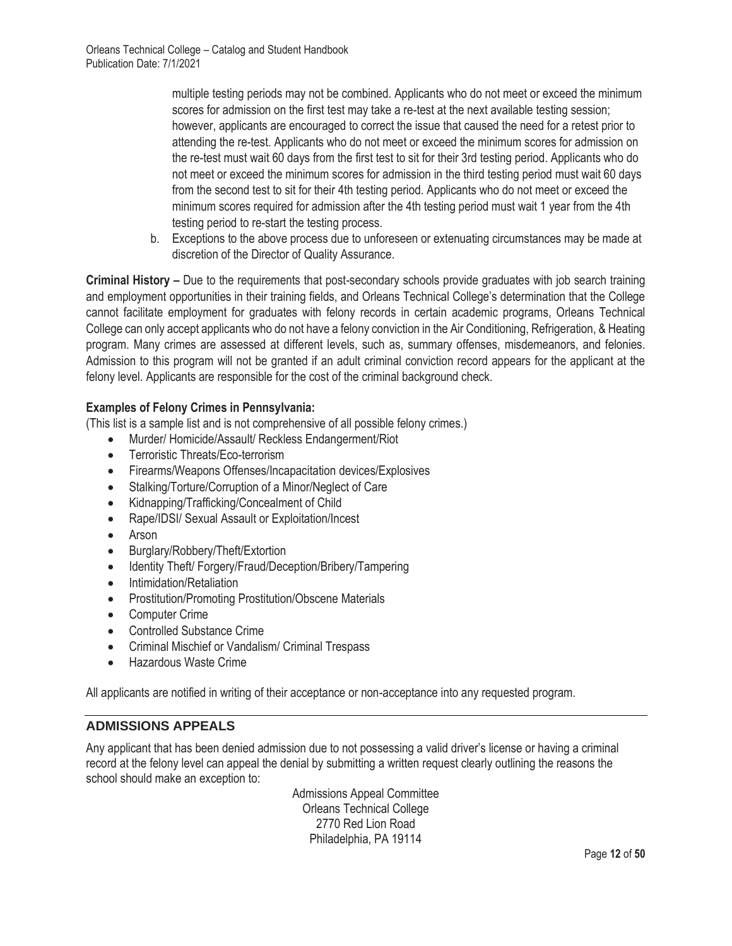multiple testing periods may not be combined. Applicants who do not meet or exceed the minimum scores for admission on the first test may take a re-test at the next available testing session; however, applicants are encouraged to correct the issue that caused the need for a retest prior to attending the re-test. Applicants who do not meet or exceed the minimum scores for admission on the re-test must wait 60 days from the first test to sit for their 3rd testing period. Applicants who do not meet or exceed the minimum scores for admission in the third testing period must wait 60 days from the second test to sit for their 4th testing period. Applicants who do not meet or exceed the minimum scores required for admission after the 4th testing period must wait 1 year from the 4th testing period to re-start the testing process.

b. Exceptions to the above process due to unforeseen or extenuating circumstances may be made at discretion of the Director of Quality Assurance.

**Criminal History –** Due to the requirements that post-secondary schools provide graduates with job search training and employment opportunities in their training fields, and Orleans Technical College's determination that the College cannot facilitate employment for graduates with felony records in certain academic programs, Orleans Technical College can only accept applicants who do not have a felony conviction in the Air Conditioning, Refrigeration, & Heating program. Many crimes are assessed at different levels, such as, summary offenses, misdemeanors, and felonies. Admission to this program will not be granted if an adult criminal conviction record appears for the applicant at the felony level. Applicants are responsible for the cost of the criminal background check.

## **Examples of Felony Crimes in Pennsylvania:**

(This list is a sample list and is not comprehensive of all possible felony crimes.)

- Murder/ Homicide/Assault/ Reckless Endangerment/Riot
- Terroristic Threats/Eco-terrorism
- Firearms/Weapons Offenses/Incapacitation devices/Explosives
- Stalking/Torture/Corruption of a Minor/Neglect of Care
- Kidnapping/Trafficking/Concealment of Child
- Rape/IDSI/ Sexual Assault or Exploitation/Incest
- Arson
- Burglary/Robbery/Theft/Extortion
- Identity Theft/ Forgery/Fraud/Deception/Bribery/Tampering
- Intimidation/Retaliation
- Prostitution/Promoting Prostitution/Obscene Materials
- Computer Crime
- Controlled Substance Crime
- Criminal Mischief or Vandalism/ Criminal Trespass
- Hazardous Waste Crime

All applicants are notified in writing of their acceptance or non-acceptance into any requested program.

# **ADMISSIONS APPEALS**

Any applicant that has been denied admission due to not possessing a valid driver's license or having a criminal record at the felony level can appeal the denial by submitting a written request clearly outlining the reasons the school should make an exception to:

> Admissions Appeal Committee Orleans Technical College 2770 Red Lion Road Philadelphia, PA 19114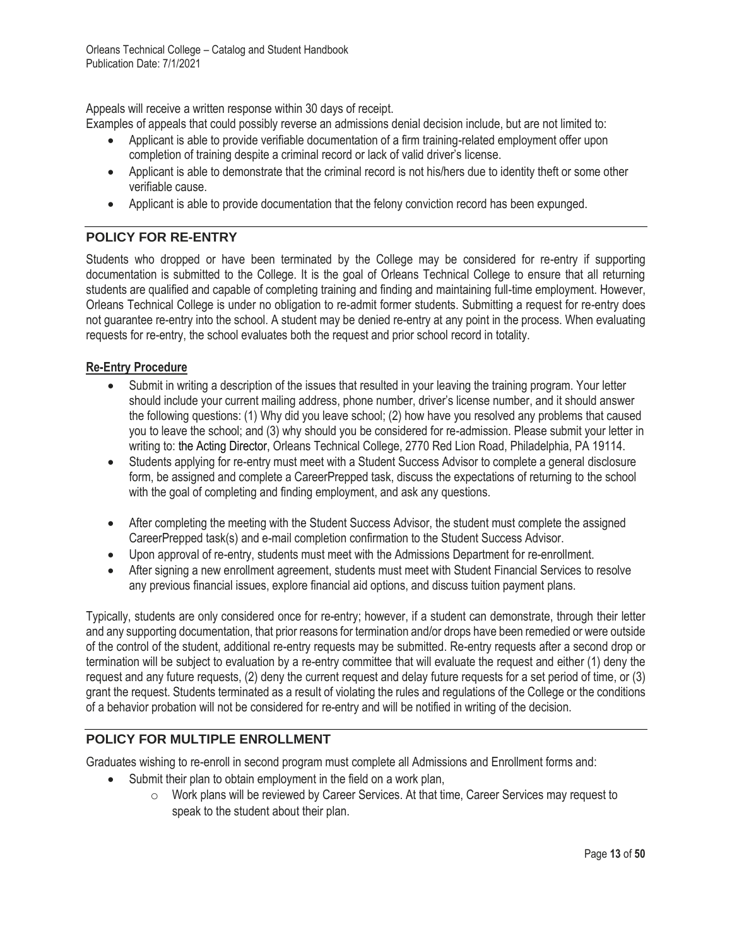Appeals will receive a written response within 30 days of receipt.

Examples of appeals that could possibly reverse an admissions denial decision include, but are not limited to:

- Applicant is able to provide verifiable documentation of a firm training-related employment offer upon completion of training despite a criminal record or lack of valid driver's license.
- Applicant is able to demonstrate that the criminal record is not his/hers due to identity theft or some other verifiable cause.
- Applicant is able to provide documentation that the felony conviction record has been expunged.

# **POLICY FOR RE-ENTRY**

Students who dropped or have been terminated by the College may be considered for re-entry if supporting documentation is submitted to the College. It is the goal of Orleans Technical College to ensure that all returning students are qualified and capable of completing training and finding and maintaining full-time employment. However, Orleans Technical College is under no obligation to re-admit former students. Submitting a request for re-entry does not guarantee re-entry into the school. A student may be denied re-entry at any point in the process. When evaluating requests for re-entry, the school evaluates both the request and prior school record in totality.

## **Re-Entry Procedure**

- Submit in writing a description of the issues that resulted in your leaving the training program. Your letter should include your current mailing address, phone number, driver's license number, and it should answer the following questions: (1) Why did you leave school; (2) how have you resolved any problems that caused you to leave the school; and (3) why should you be considered for re-admission. Please submit your letter in writing to: the Acting Director, Orleans Technical College, 2770 Red Lion Road, Philadelphia, PA 19114.
- Students applying for re-entry must meet with a Student Success Advisor to complete a general disclosure form, be assigned and complete a CareerPrepped task, discuss the expectations of returning to the school with the goal of completing and finding employment, and ask any questions.
- After completing the meeting with the Student Success Advisor, the student must complete the assigned CareerPrepped task(s) and e-mail completion confirmation to the Student Success Advisor.
- Upon approval of re-entry, students must meet with the Admissions Department for re-enrollment.
- After signing a new enrollment agreement, students must meet with Student Financial Services to resolve any previous financial issues, explore financial aid options, and discuss tuition payment plans.

Typically, students are only considered once for re-entry; however, if a student can demonstrate, through their letter and any supporting documentation, that prior reasons for termination and/or drops have been remedied or were outside of the control of the student, additional re-entry requests may be submitted. Re-entry requests after a second drop or termination will be subject to evaluation by a re-entry committee that will evaluate the request and either (1) deny the request and any future requests, (2) deny the current request and delay future requests for a set period of time, or (3) grant the request. Students terminated as a result of violating the rules and regulations of the College or the conditions of a behavior probation will not be considered for re-entry and will be notified in writing of the decision.

# **POLICY FOR MULTIPLE ENROLLMENT**

Graduates wishing to re-enroll in second program must complete all Admissions and Enrollment forms and:

- Submit their plan to obtain employment in the field on a work plan,
	- $\circ$  Work plans will be reviewed by Career Services. At that time, Career Services may request to speak to the student about their plan.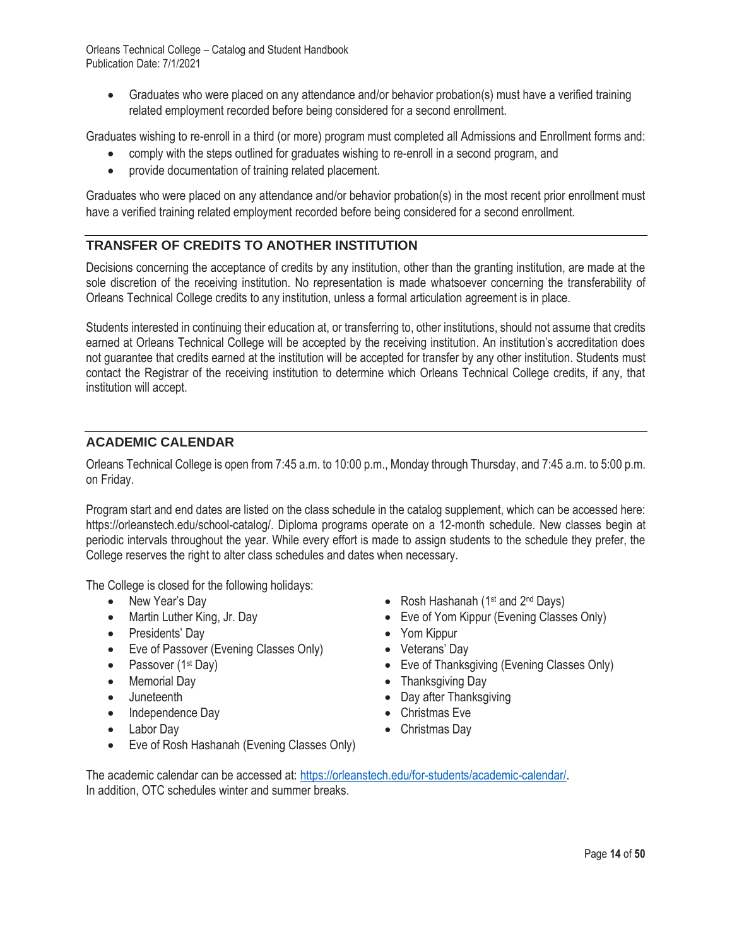• Graduates who were placed on any attendance and/or behavior probation(s) must have a verified training related employment recorded before being considered for a second enrollment.

Graduates wishing to re-enroll in a third (or more) program must completed all Admissions and Enrollment forms and:

- comply with the steps outlined for graduates wishing to re-enroll in a second program, and
- provide documentation of training related placement.

Graduates who were placed on any attendance and/or behavior probation(s) in the most recent prior enrollment must have a verified training related employment recorded before being considered for a second enrollment.

# **TRANSFER OF CREDITS TO ANOTHER INSTITUTION**

Decisions concerning the acceptance of credits by any institution, other than the granting institution, are made at the sole discretion of the receiving institution. No representation is made whatsoever concerning the transferability of Orleans Technical College credits to any institution, unless a formal articulation agreement is in place.

Students interested in continuing their education at, or transferring to, other institutions, should not assume that credits earned at Orleans Technical College will be accepted by the receiving institution. An institution's accreditation does not guarantee that credits earned at the institution will be accepted for transfer by any other institution. Students must contact the Registrar of the receiving institution to determine which Orleans Technical College credits, if any, that institution will accept.

## **ACADEMIC CALENDAR**

Orleans Technical College is open from 7:45 a.m. to 10:00 p.m., Monday through Thursday, and 7:45 a.m. to 5:00 p.m. on Friday.

Program start and end dates are listed on the class schedule in the catalog supplement, which can be accessed here: https://orleanstech.edu/school-catalog/. Diploma programs operate on a 12-month schedule. New classes begin at periodic intervals throughout the year. While every effort is made to assign students to the schedule they prefer, the College reserves the right to alter class schedules and dates when necessary.

The College is closed for the following holidays:

- New Year's Day
- Martin Luther King, Jr. Day
- Presidents' Day
- Eve of Passover (Evening Classes Only)
- Passover (1<sup>st</sup> Day)
- Memorial Day
- Juneteenth
- Independence Day
- Labor Day
- Eve of Rosh Hashanah (Evening Classes Only)
- Rosh Hashanah ( $1<sup>st</sup>$  and  $2<sup>nd</sup>$  Days)
- Eve of Yom Kippur (Evening Classes Only)
- Yom Kippur
- Veterans' Day
- Eve of Thanksgiving (Evening Classes Only)
- Thanksgiving Day
- Day after Thanksgiving
- Christmas Eve
- Christmas Day

The academic calendar can be accessed at: https://orleanstech.edu/for-students/academic-calendar/. In addition, OTC schedules winter and summer breaks.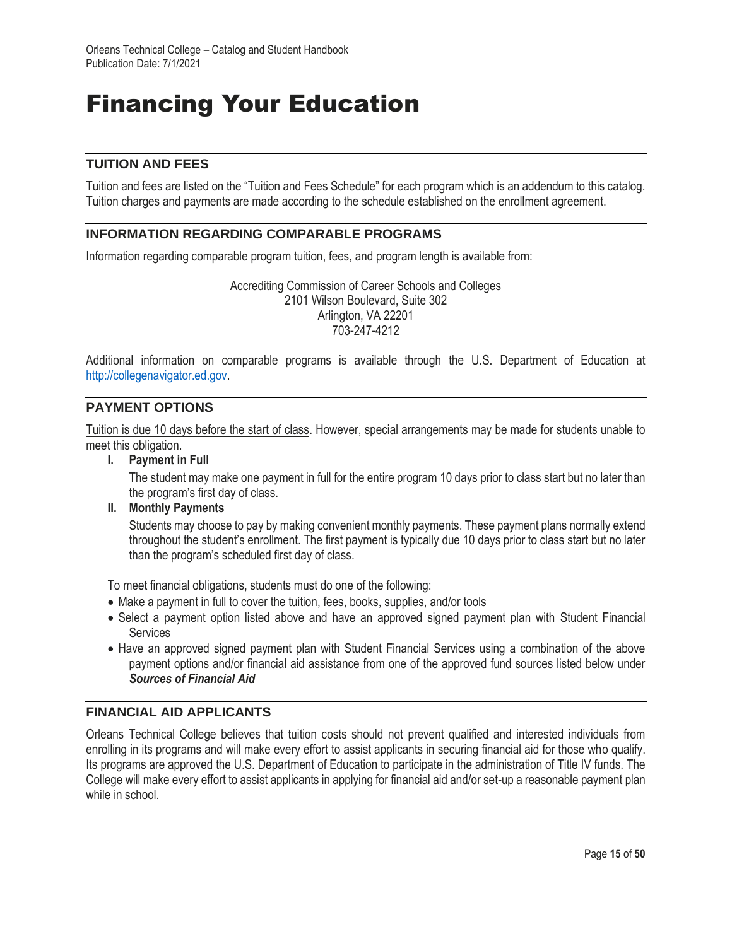# Financing Your Education

## **TUITION AND FEES**

Tuition and fees are listed on the "Tuition and Fees Schedule" for each program which is an addendum to this catalog. Tuition charges and payments are made according to the schedule established on the enrollment agreement.

## **INFORMATION REGARDING COMPARABLE PROGRAMS**

Information regarding comparable program tuition, fees, and program length is available from:

Accrediting Commission of Career Schools and Colleges 2101 Wilson Boulevard, Suite 302 Arlington, VA 22201 703-247-4212

Additional information on comparable programs is available through the U.S. Department of Education at http://collegenavigator.ed.gov.

## **PAYMENT OPTIONS**

Tuition is due 10 days before the start of class. However, special arrangements may be made for students unable to meet this obligation.

**I. Payment in Full**

The student may make one payment in full for the entire program 10 days prior to class start but no later than the program's first day of class.

**II. Monthly Payments**

Students may choose to pay by making convenient monthly payments. These payment plans normally extend throughout the student's enrollment. The first payment is typically due 10 days prior to class start but no later than the program's scheduled first day of class.

To meet financial obligations, students must do one of the following:

- Make a payment in full to cover the tuition, fees, books, supplies, and/or tools
- Select a payment option listed above and have an approved signed payment plan with Student Financial **Services**
- Have an approved signed payment plan with Student Financial Services using a combination of the above payment options and/or financial aid assistance from one of the approved fund sources listed below under *Sources of Financial Aid*

## **FINANCIAL AID APPLICANTS**

Orleans Technical College believes that tuition costs should not prevent qualified and interested individuals from enrolling in its programs and will make every effort to assist applicants in securing financial aid for those who qualify. Its programs are approved the U.S. Department of Education to participate in the administration of Title IV funds. The College will make every effort to assist applicants in applying for financial aid and/or set-up a reasonable payment plan while in school.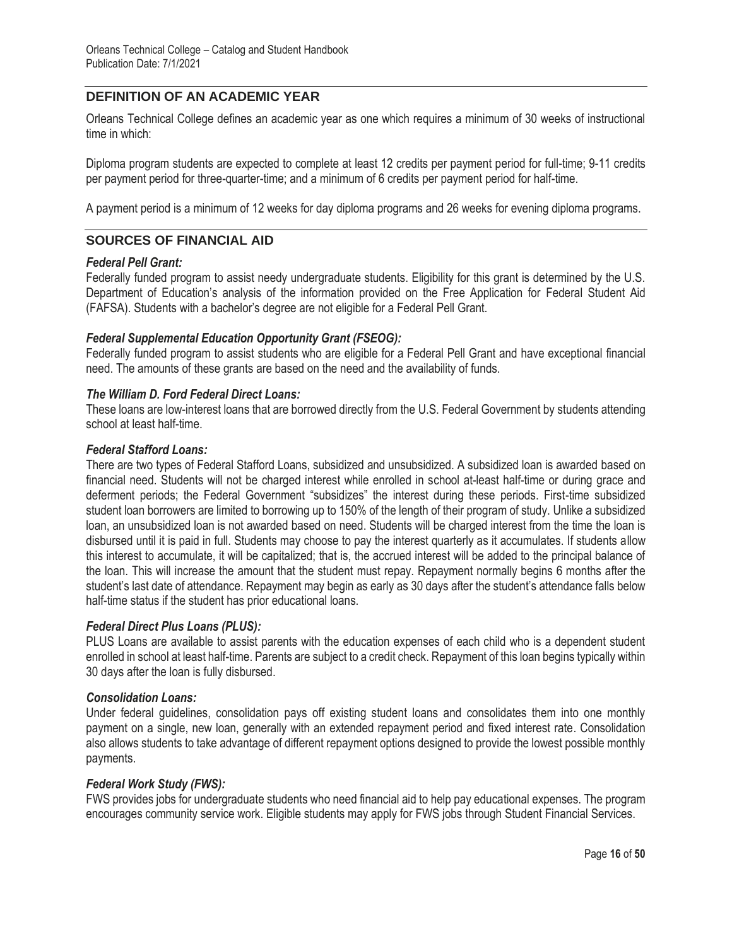## **DEFINITION OF AN ACADEMIC YEAR**

Orleans Technical College defines an academic year as one which requires a minimum of 30 weeks of instructional time in which:

Diploma program students are expected to complete at least 12 credits per payment period for full-time; 9-11 credits per payment period for three-quarter-time; and a minimum of 6 credits per payment period for half-time.

A payment period is a minimum of 12 weeks for day diploma programs and 26 weeks for evening diploma programs.

## **SOURCES OF FINANCIAL AID**

#### *Federal Pell Grant:*

Federally funded program to assist needy undergraduate students. Eligibility for this grant is determined by the U.S. Department of Education's analysis of the information provided on the Free Application for Federal Student Aid (FAFSA). Students with a bachelor's degree are not eligible for a Federal Pell Grant.

### *Federal Supplemental Education Opportunity Grant (FSEOG):*

Federally funded program to assist students who are eligible for a Federal Pell Grant and have exceptional financial need. The amounts of these grants are based on the need and the availability of funds.

#### *The William D. Ford Federal Direct Loans:*

These loans are low-interest loans that are borrowed directly from the U.S. Federal Government by students attending school at least half-time.

#### *Federal Stafford Loans:*

There are two types of Federal Stafford Loans, subsidized and unsubsidized. A subsidized loan is awarded based on financial need. Students will not be charged interest while enrolled in school at-least half-time or during grace and deferment periods; the Federal Government "subsidizes" the interest during these periods. First-time subsidized student loan borrowers are limited to borrowing up to 150% of the length of their program of study. Unlike a subsidized loan, an unsubsidized loan is not awarded based on need. Students will be charged interest from the time the loan is disbursed until it is paid in full. Students may choose to pay the interest quarterly as it accumulates. If students allow this interest to accumulate, it will be capitalized; that is, the accrued interest will be added to the principal balance of the loan. This will increase the amount that the student must repay. Repayment normally begins 6 months after the student's last date of attendance. Repayment may begin as early as 30 days after the student's attendance falls below half-time status if the student has prior educational loans.

### *Federal Direct Plus Loans (PLUS):*

PLUS Loans are available to assist parents with the education expenses of each child who is a dependent student enrolled in school at least half-time. Parents are subject to a credit check. Repayment of this loan begins typically within 30 days after the loan is fully disbursed.

#### *Consolidation Loans:*

Under federal guidelines, consolidation pays off existing student loans and consolidates them into one monthly payment on a single, new loan, generally with an extended repayment period and fixed interest rate. Consolidation also allows students to take advantage of different repayment options designed to provide the lowest possible monthly payments.

### *Federal Work Study (FWS):*

FWS provides jobs for undergraduate students who need financial aid to help pay educational expenses. The program encourages community service work. Eligible students may apply for FWS jobs through Student Financial Services.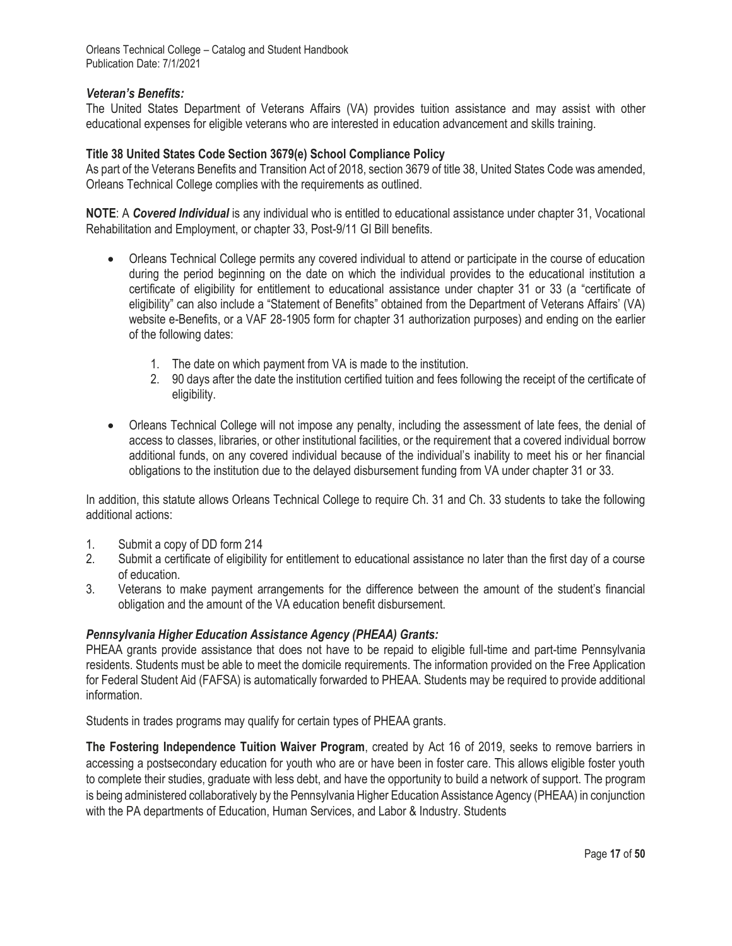## *Veteran's Benefits:*

The United States Department of Veterans Affairs (VA) provides tuition assistance and may assist with other educational expenses for eligible veterans who are interested in education advancement and skills training.

### **Title 38 United States Code Section 3679(e) School Compliance Policy**

As part of the Veterans Benefits and Transition Act of 2018, section 3679 of title 38, United States Code was amended, Orleans Technical College complies with the requirements as outlined.

**NOTE**: A *Covered Individual* is any individual who is entitled to educational assistance under chapter 31, Vocational Rehabilitation and Employment, or chapter 33, Post-9/11 GI Bill benefits.

- Orleans Technical College permits any covered individual to attend or participate in the course of education during the period beginning on the date on which the individual provides to the educational institution a certificate of eligibility for entitlement to educational assistance under chapter 31 or 33 (a "certificate of eligibility" can also include a "Statement of Benefits" obtained from the Department of Veterans Affairs' (VA) website e-Benefits, or a VAF 28-1905 form for chapter 31 authorization purposes) and ending on the earlier of the following dates:
	- 1. The date on which payment from VA is made to the institution.
	- 2. 90 days after the date the institution certified tuition and fees following the receipt of the certificate of eligibility.
- Orleans Technical College will not impose any penalty, including the assessment of late fees, the denial of access to classes, libraries, or other institutional facilities, or the requirement that a covered individual borrow additional funds, on any covered individual because of the individual's inability to meet his or her financial obligations to the institution due to the delayed disbursement funding from VA under chapter 31 or 33.

In addition, this statute allows Orleans Technical College to require Ch. 31 and Ch. 33 students to take the following additional actions:

- 1. Submit a copy of DD form 214
- 2. Submit a certificate of eligibility for entitlement to educational assistance no later than the first day of a course of education.
- 3. Veterans to make payment arrangements for the difference between the amount of the student's financial obligation and the amount of the VA education benefit disbursement.

### *Pennsylvania Higher Education Assistance Agency (PHEAA) Grants:*

PHEAA grants provide assistance that does not have to be repaid to eligible full-time and part-time Pennsylvania residents. Students must be able to meet the domicile requirements. The information provided on the Free Application for Federal Student Aid (FAFSA) is automatically forwarded to PHEAA. Students may be required to provide additional information.

Students in trades programs may qualify for certain types of PHEAA grants.

**The Fostering Independence Tuition Waiver Program**, created by Act 16 of 2019, seeks to remove barriers in accessing a postsecondary education for youth who are or have been in foster care. This allows eligible foster youth to complete their studies, graduate with less debt, and have the opportunity to build a network of support. The program is being administered collaboratively by the Pennsylvania Higher Education Assistance Agency (PHEAA) in conjunction with the PA departments of Education, Human Services, and Labor & Industry. Students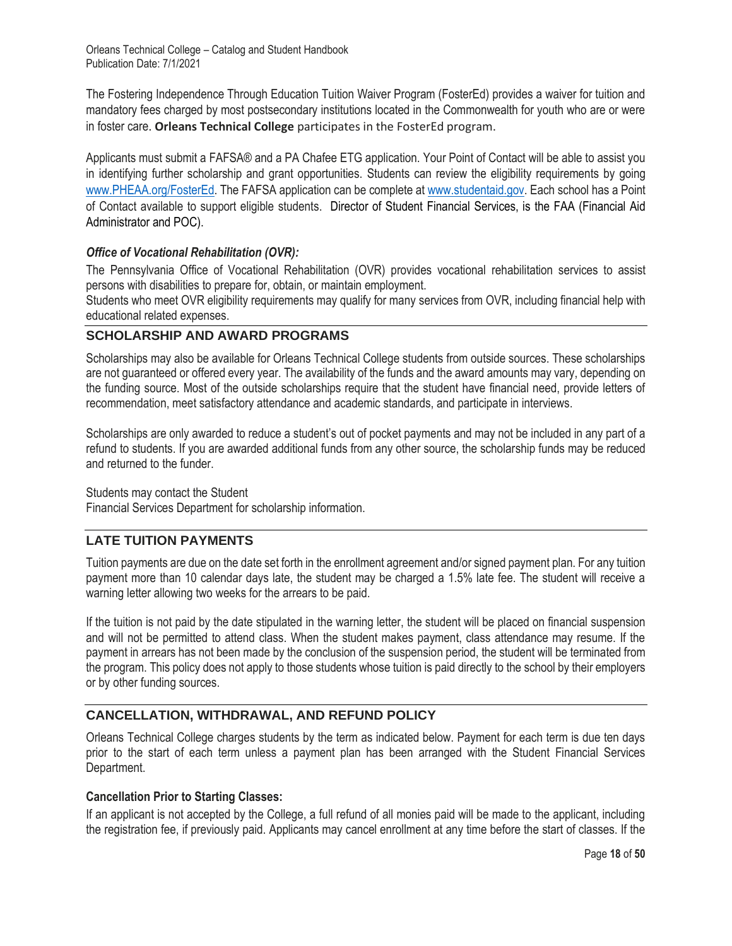The Fostering Independence Through Education Tuition Waiver Program (FosterEd) provides a waiver for tuition and mandatory fees charged by most postsecondary institutions located in the Commonwealth for youth who are or were in foster care. **Orleans Technical College** participates in the FosterEd program.

Applicants must submit a FAFSA® and a PA Chafee ETG application. Your Point of Contact will be able to assist you in identifying further scholarship and grant opportunities. Students can review the eligibility requirements by going www.PHEAA.org/FosterEd. The FAFSA application can be complete at www.studentaid.gov. Each school has a Point of Contact available to support eligible students. Director of Student Financial Services, is the FAA (Financial Aid Administrator and POC).

## *Office of Vocational Rehabilitation (OVR):*

The Pennsylvania Office of Vocational Rehabilitation (OVR) provides vocational rehabilitation services to assist persons with disabilities to prepare for, obtain, or maintain employment.

Students who meet OVR eligibility requirements may qualify for many services from OVR, including financial help with educational related expenses.

## **SCHOLARSHIP AND AWARD PROGRAMS**

Scholarships may also be available for Orleans Technical College students from outside sources. These scholarships are not guaranteed or offered every year. The availability of the funds and the award amounts may vary, depending on the funding source. Most of the outside scholarships require that the student have financial need, provide letters of recommendation, meet satisfactory attendance and academic standards, and participate in interviews.

Scholarships are only awarded to reduce a student's out of pocket payments and may not be included in any part of a refund to students. If you are awarded additional funds from any other source, the scholarship funds may be reduced and returned to the funder.

### Students may contact the Student

Financial Services Department for scholarship information.

## **LATE TUITION PAYMENTS**

Tuition payments are due on the date set forth in the enrollment agreement and/or signed payment plan. For any tuition payment more than 10 calendar days late, the student may be charged a 1.5% late fee. The student will receive a warning letter allowing two weeks for the arrears to be paid.

If the tuition is not paid by the date stipulated in the warning letter, the student will be placed on financial suspension and will not be permitted to attend class. When the student makes payment, class attendance may resume. If the payment in arrears has not been made by the conclusion of the suspension period, the student will be terminated from the program. This policy does not apply to those students whose tuition is paid directly to the school by their employers or by other funding sources.

## **CANCELLATION, WITHDRAWAL, AND REFUND POLICY**

Orleans Technical College charges students by the term as indicated below. Payment for each term is due ten days prior to the start of each term unless a payment plan has been arranged with the Student Financial Services Department.

### **Cancellation Prior to Starting Classes:**

If an applicant is not accepted by the College, a full refund of all monies paid will be made to the applicant, including the registration fee, if previously paid. Applicants may cancel enrollment at any time before the start of classes. If the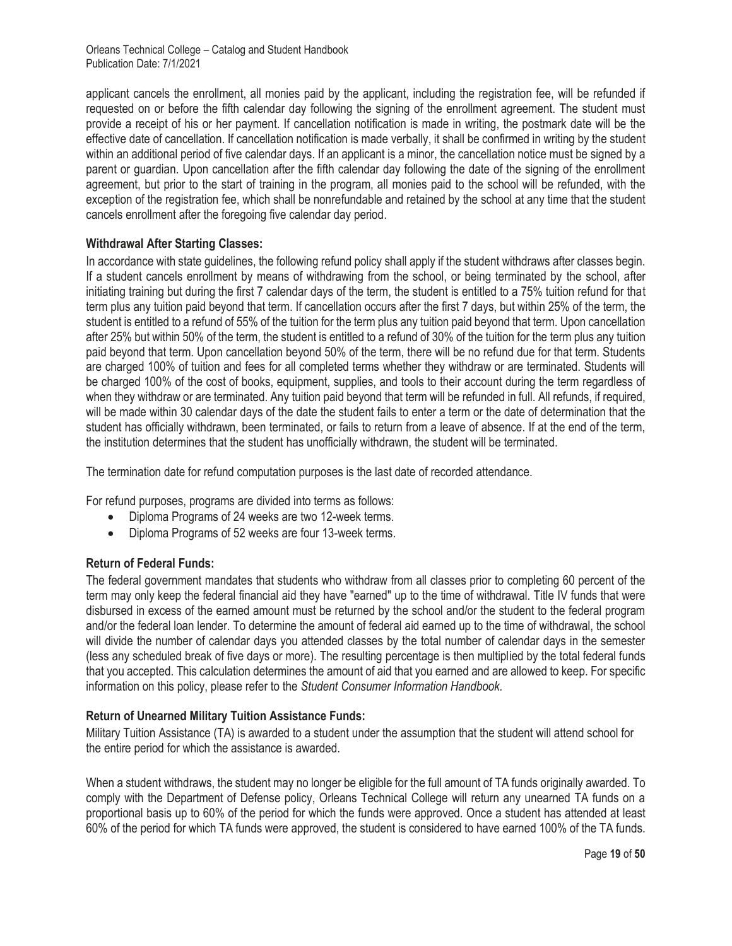applicant cancels the enrollment, all monies paid by the applicant, including the registration fee, will be refunded if requested on or before the fifth calendar day following the signing of the enrollment agreement. The student must provide a receipt of his or her payment. If cancellation notification is made in writing, the postmark date will be the effective date of cancellation. If cancellation notification is made verbally, it shall be confirmed in writing by the student within an additional period of five calendar days. If an applicant is a minor, the cancellation notice must be signed by a parent or guardian. Upon cancellation after the fifth calendar day following the date of the signing of the enrollment agreement, but prior to the start of training in the program, all monies paid to the school will be refunded, with the exception of the registration fee, which shall be nonrefundable and retained by the school at any time that the student cancels enrollment after the foregoing five calendar day period.

## **Withdrawal After Starting Classes:**

In accordance with state guidelines, the following refund policy shall apply if the student withdraws after classes begin. If a student cancels enrollment by means of withdrawing from the school, or being terminated by the school, after initiating training but during the first 7 calendar days of the term, the student is entitled to a 75% tuition refund for that term plus any tuition paid beyond that term. If cancellation occurs after the first 7 days, but within 25% of the term, the student is entitled to a refund of 55% of the tuition for the term plus any tuition paid beyond that term. Upon cancellation after 25% but within 50% of the term, the student is entitled to a refund of 30% of the tuition for the term plus any tuition paid beyond that term. Upon cancellation beyond 50% of the term, there will be no refund due for that term. Students are charged 100% of tuition and fees for all completed terms whether they withdraw or are terminated. Students will be charged 100% of the cost of books, equipment, supplies, and tools to their account during the term regardless of when they withdraw or are terminated. Any tuition paid beyond that term will be refunded in full. All refunds, if required, will be made within 30 calendar days of the date the student fails to enter a term or the date of determination that the student has officially withdrawn, been terminated, or fails to return from a leave of absence. If at the end of the term, the institution determines that the student has unofficially withdrawn, the student will be terminated.

The termination date for refund computation purposes is the last date of recorded attendance.

For refund purposes, programs are divided into terms as follows:

- Diploma Programs of 24 weeks are two 12-week terms.
- Diploma Programs of 52 weeks are four 13-week terms.

## **Return of Federal Funds:**

The federal government mandates that students who withdraw from all classes prior to completing 60 percent of the term may only keep the federal financial aid they have "earned" up to the time of withdrawal. Title IV funds that were disbursed in excess of the earned amount must be returned by the school and/or the student to the federal program and/or the federal loan lender. To determine the amount of federal aid earned up to the time of withdrawal, the school will divide the number of calendar days you attended classes by the total number of calendar days in the semester (less any scheduled break of five days or more). The resulting percentage is then multiplied by the total federal funds that you accepted. This calculation determines the amount of aid that you earned and are allowed to keep. For specific information on this policy, please refer to the *Student Consumer Information Handbook.*

### **Return of Unearned Military Tuition Assistance Funds:**

Military Tuition Assistance (TA) is awarded to a student under the assumption that the student will attend school for the entire period for which the assistance is awarded.

When a student withdraws, the student may no longer be eligible for the full amount of TA funds originally awarded. To comply with the Department of Defense policy, Orleans Technical College will return any unearned TA funds on a proportional basis up to 60% of the period for which the funds were approved. Once a student has attended at least 60% of the period for which TA funds were approved, the student is considered to have earned 100% of the TA funds.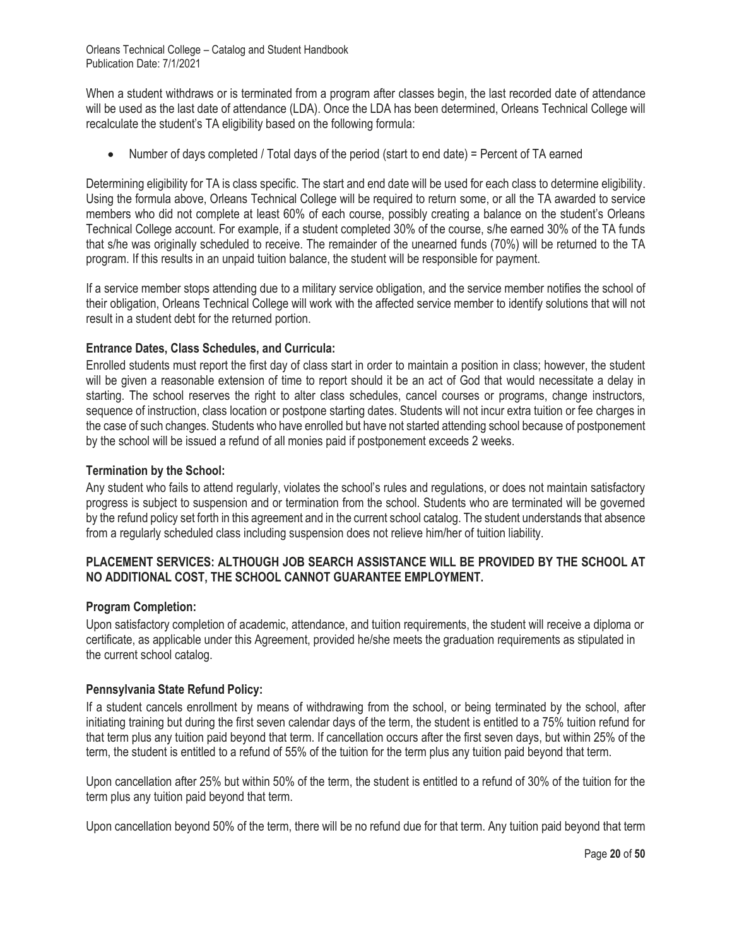When a student withdraws or is terminated from a program after classes begin, the last recorded date of attendance will be used as the last date of attendance (LDA). Once the LDA has been determined, Orleans Technical College will recalculate the student's TA eligibility based on the following formula:

• Number of days completed / Total days of the period (start to end date) = Percent of TA earned

Determining eligibility for TA is class specific. The start and end date will be used for each class to determine eligibility. Using the formula above, Orleans Technical College will be required to return some, or all the TA awarded to service members who did not complete at least 60% of each course, possibly creating a balance on the student's Orleans Technical College account. For example, if a student completed 30% of the course, s/he earned 30% of the TA funds that s/he was originally scheduled to receive. The remainder of the unearned funds (70%) will be returned to the TA program. If this results in an unpaid tuition balance, the student will be responsible for payment.

If a service member stops attending due to a military service obligation, and the service member notifies the school of their obligation, Orleans Technical College will work with the affected service member to identify solutions that will not result in a student debt for the returned portion.

## **Entrance Dates, Class Schedules, and Curricula:**

Enrolled students must report the first day of class start in order to maintain a position in class; however, the student will be given a reasonable extension of time to report should it be an act of God that would necessitate a delay in starting. The school reserves the right to alter class schedules, cancel courses or programs, change instructors, sequence of instruction, class location or postpone starting dates. Students will not incur extra tuition or fee charges in the case of such changes. Students who have enrolled but have not started attending school because of postponement by the school will be issued a refund of all monies paid if postponement exceeds 2 weeks.

### **Termination by the School:**

Any student who fails to attend regularly, violates the school's rules and regulations, or does not maintain satisfactory progress is subject to suspension and or termination from the school. Students who are terminated will be governed by the refund policy set forth in this agreement and in the current school catalog. The student understands that absence from a regularly scheduled class including suspension does not relieve him/her of tuition liability.

## **PLACEMENT SERVICES: ALTHOUGH JOB SEARCH ASSISTANCE WILL BE PROVIDED BY THE SCHOOL AT NO ADDITIONAL COST, THE SCHOOL CANNOT GUARANTEE EMPLOYMENT.**

### **Program Completion:**

Upon satisfactory completion of academic, attendance, and tuition requirements, the student will receive a diploma or certificate, as applicable under this Agreement, provided he/she meets the graduation requirements as stipulated in the current school catalog.

### **Pennsylvania State Refund Policy:**

If a student cancels enrollment by means of withdrawing from the school, or being terminated by the school, after initiating training but during the first seven calendar days of the term, the student is entitled to a 75% tuition refund for that term plus any tuition paid beyond that term. If cancellation occurs after the first seven days, but within 25% of the term, the student is entitled to a refund of 55% of the tuition for the term plus any tuition paid beyond that term.

Upon cancellation after 25% but within 50% of the term, the student is entitled to a refund of 30% of the tuition for the term plus any tuition paid beyond that term.

Upon cancellation beyond 50% of the term, there will be no refund due for that term. Any tuition paid beyond that term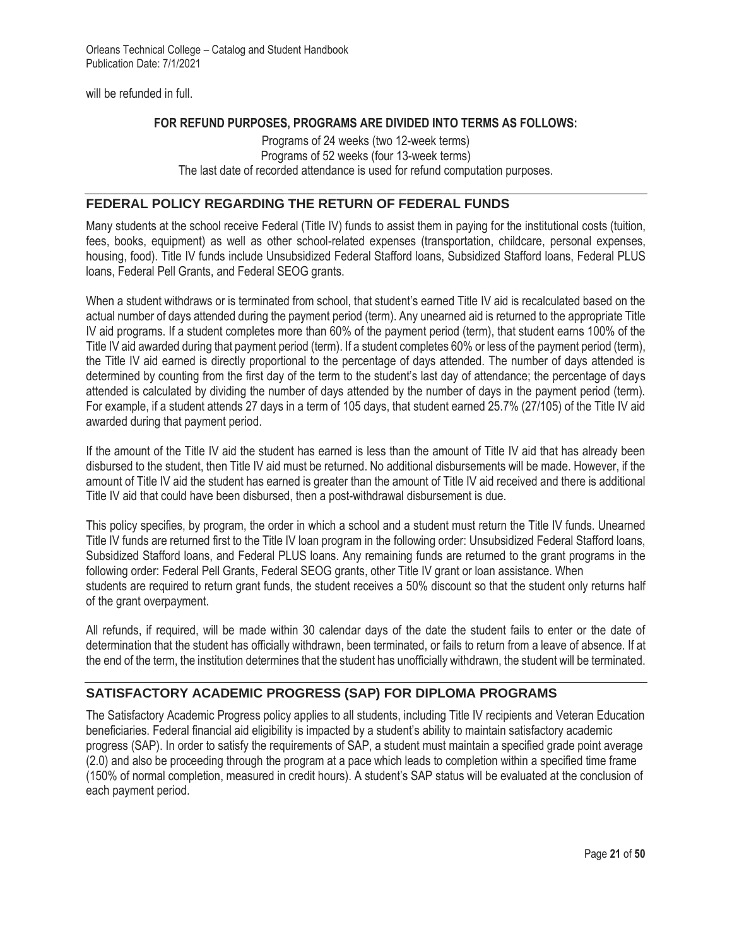will be refunded in full.

## **FOR REFUND PURPOSES, PROGRAMS ARE DIVIDED INTO TERMS AS FOLLOWS:**

Programs of 24 weeks (two 12-week terms) Programs of 52 weeks (four 13-week terms) The last date of recorded attendance is used for refund computation purposes.

## **FEDERAL POLICY REGARDING THE RETURN OF FEDERAL FUNDS**

Many students at the school receive Federal (Title IV) funds to assist them in paying for the institutional costs (tuition, fees, books, equipment) as well as other school-related expenses (transportation, childcare, personal expenses, housing, food). Title IV funds include Unsubsidized Federal Stafford loans, Subsidized Stafford loans, Federal PLUS loans, Federal Pell Grants, and Federal SEOG grants.

When a student withdraws or is terminated from school, that student's earned Title IV aid is recalculated based on the actual number of days attended during the payment period (term). Any unearned aid is returned to the appropriate Title IV aid programs. If a student completes more than 60% of the payment period (term), that student earns 100% of the Title IV aid awarded during that payment period (term). If a student completes 60% or less of the payment period (term), the Title IV aid earned is directly proportional to the percentage of days attended. The number of days attended is determined by counting from the first day of the term to the student's last day of attendance; the percentage of days attended is calculated by dividing the number of days attended by the number of days in the payment period (term). For example, if a student attends 27 days in a term of 105 days, that student earned 25.7% (27/105) of the Title IV aid awarded during that payment period.

If the amount of the Title IV aid the student has earned is less than the amount of Title IV aid that has already been disbursed to the student, then Title IV aid must be returned. No additional disbursements will be made. However, if the amount of Title IV aid the student has earned is greater than the amount of Title IV aid received and there is additional Title IV aid that could have been disbursed, then a post-withdrawal disbursement is due.

This policy specifies, by program, the order in which a school and a student must return the Title IV funds. Unearned Title IV funds are returned first to the Title IV loan program in the following order: Unsubsidized Federal Stafford loans, Subsidized Stafford loans, and Federal PLUS loans. Any remaining funds are returned to the grant programs in the following order: Federal Pell Grants, Federal SEOG grants, other Title IV grant or loan assistance. When students are required to return grant funds, the student receives a 50% discount so that the student only returns half of the grant overpayment.

All refunds, if required, will be made within 30 calendar days of the date the student fails to enter or the date of determination that the student has officially withdrawn, been terminated, or fails to return from a leave of absence. If at the end of the term, the institution determines that the student has unofficially withdrawn, the student will be terminated.

# **SATISFACTORY ACADEMIC PROGRESS (SAP) FOR DIPLOMA PROGRAMS**

The Satisfactory Academic Progress policy applies to all students, including Title IV recipients and Veteran Education beneficiaries. Federal financial aid eligibility is impacted by a student's ability to maintain satisfactory academic progress (SAP). In order to satisfy the requirements of SAP, a student must maintain a specified grade point average (2.0) and also be proceeding through the program at a pace which leads to completion within a specified time frame (150% of normal completion, measured in credit hours). A student's SAP status will be evaluated at the conclusion of each payment period.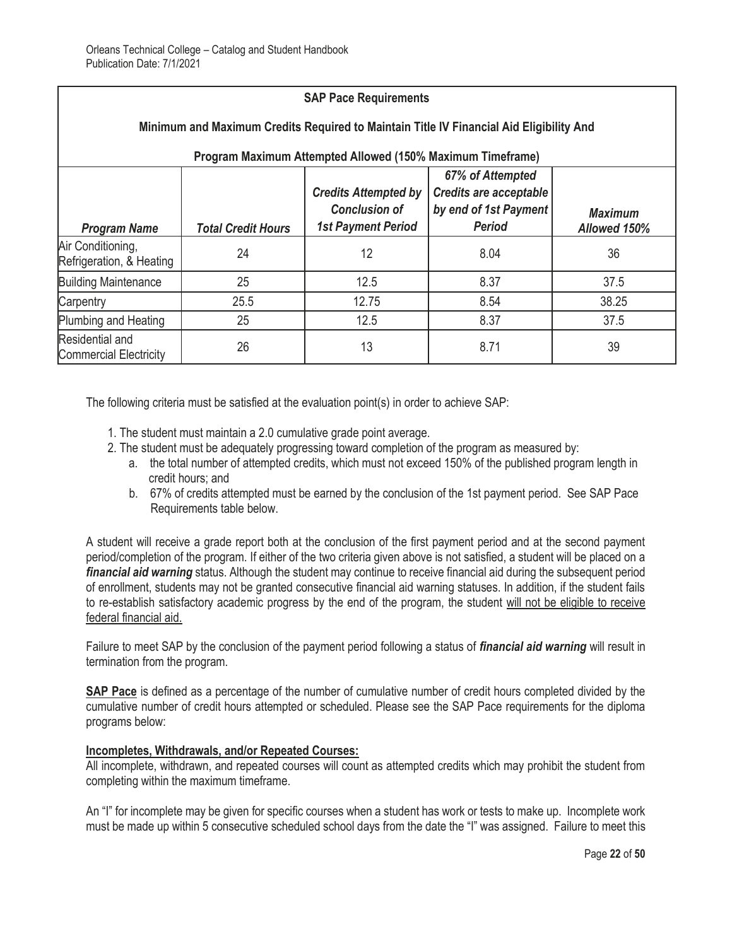| <b>SAP Pace Requirements</b>                                                                                                                          |                           |                                                                                  |                                                                                             |                                |
|-------------------------------------------------------------------------------------------------------------------------------------------------------|---------------------------|----------------------------------------------------------------------------------|---------------------------------------------------------------------------------------------|--------------------------------|
| Minimum and Maximum Credits Required to Maintain Title IV Financial Aid Eligibility And<br>Program Maximum Attempted Allowed (150% Maximum Timeframe) |                           |                                                                                  |                                                                                             |                                |
| <b>Program Name</b>                                                                                                                                   | <b>Total Credit Hours</b> | <b>Credits Attempted by</b><br><b>Conclusion of</b><br><b>1st Payment Period</b> | 67% of Attempted<br><b>Credits are acceptable</b><br>by end of 1st Payment<br><b>Period</b> | <b>Maximum</b><br>Allowed 150% |
| Air Conditioning,<br>Refrigeration, & Heating                                                                                                         | 24                        | 12                                                                               | 8.04                                                                                        | 36                             |
| <b>Building Maintenance</b>                                                                                                                           | 25                        | 12.5                                                                             | 8.37                                                                                        | 37.5                           |
| Carpentry                                                                                                                                             | 25.5                      | 12.75                                                                            | 8.54                                                                                        | 38.25                          |
| Plumbing and Heating                                                                                                                                  | 25                        | 12.5                                                                             | 8.37                                                                                        | 37.5                           |
| Residential and<br><b>Commercial Electricity</b>                                                                                                      | 26                        | 13                                                                               | 8.71                                                                                        | 39                             |

The following criteria must be satisfied at the evaluation point(s) in order to achieve SAP:

- 1. The student must maintain a 2.0 cumulative grade point average.
- 2. The student must be adequately progressing toward completion of the program as measured by:
	- a. the total number of attempted credits, which must not exceed 150% of the published program length in credit hours; and
	- b. 67% of credits attempted must be earned by the conclusion of the 1st payment period. See SAP Pace Requirements table below.

A student will receive a grade report both at the conclusion of the first payment period and at the second payment period/completion of the program. If either of the two criteria given above is not satisfied, a student will be placed on a *financial aid warning* status. Although the student may continue to receive financial aid during the subsequent period of enrollment, students may not be granted consecutive financial aid warning statuses. In addition, if the student fails to re-establish satisfactory academic progress by the end of the program, the student will not be eligible to receive federal financial aid.

Failure to meet SAP by the conclusion of the payment period following a status of *financial aid warning* will result in termination from the program.

**SAP Pace** is defined as a percentage of the number of cumulative number of credit hours completed divided by the cumulative number of credit hours attempted or scheduled. Please see the SAP Pace requirements for the diploma programs below:

### **Incompletes, Withdrawals, and/or Repeated Courses:**

All incomplete, withdrawn, and repeated courses will count as attempted credits which may prohibit the student from completing within the maximum timeframe.

An "I" for incomplete may be given for specific courses when a student has work or tests to make up. Incomplete work must be made up within 5 consecutive scheduled school days from the date the "I" was assigned. Failure to meet this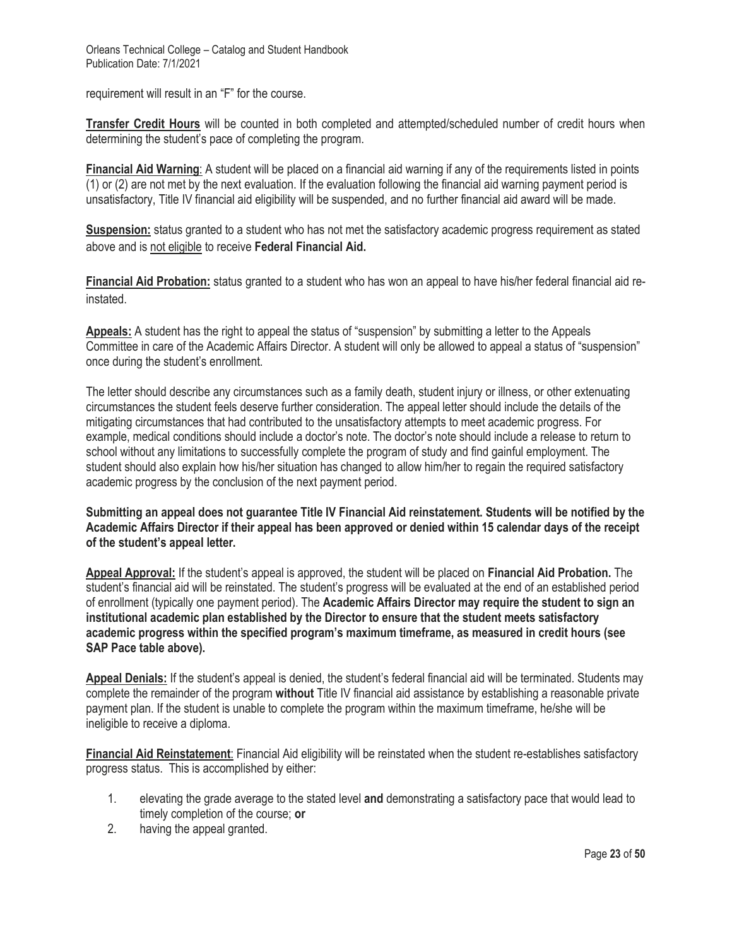requirement will result in an "F" for the course.

**Transfer Credit Hours** will be counted in both completed and attempted/scheduled number of credit hours when determining the student's pace of completing the program.

**Financial Aid Warning**: A student will be placed on a financial aid warning if any of the requirements listed in points (1) or (2) are not met by the next evaluation. If the evaluation following the financial aid warning payment period is unsatisfactory, Title IV financial aid eligibility will be suspended, and no further financial aid award will be made.

**Suspension:** status granted to a student who has not met the satisfactory academic progress requirement as stated above and is not eligible to receive **Federal Financial Aid.**

**Financial Aid Probation:** status granted to a student who has won an appeal to have his/her federal financial aid reinstated.

**Appeals:** A student has the right to appeal the status of "suspension" by submitting a letter to the Appeals Committee in care of the Academic Affairs Director. A student will only be allowed to appeal a status of "suspension" once during the student's enrollment.

The letter should describe any circumstances such as a family death, student injury or illness, or other extenuating circumstances the student feels deserve further consideration. The appeal letter should include the details of the mitigating circumstances that had contributed to the unsatisfactory attempts to meet academic progress. For example, medical conditions should include a doctor's note. The doctor's note should include a release to return to school without any limitations to successfully complete the program of study and find gainful employment. The student should also explain how his/her situation has changed to allow him/her to regain the required satisfactory academic progress by the conclusion of the next payment period.

**Submitting an appeal does not guarantee Title IV Financial Aid reinstatement. Students will be notified by the Academic Affairs Director if their appeal has been approved or denied within 15 calendar days of the receipt of the student's appeal letter.** 

**Appeal Approval:** If the student's appeal is approved, the student will be placed on **Financial Aid Probation.** The student's financial aid will be reinstated. The student's progress will be evaluated at the end of an established period of enrollment (typically one payment period). The **Academic Affairs Director may require the student to sign an institutional academic plan established by the Director to ensure that the student meets satisfactory academic progress within the specified program's maximum timeframe, as measured in credit hours (see SAP Pace table above).**

**Appeal Denials:** If the student's appeal is denied, the student's federal financial aid will be terminated. Students may complete the remainder of the program **without** Title IV financial aid assistance by establishing a reasonable private payment plan. If the student is unable to complete the program within the maximum timeframe, he/she will be ineligible to receive a diploma.

**Financial Aid Reinstatement**: Financial Aid eligibility will be reinstated when the student re-establishes satisfactory progress status. This is accomplished by either:

- 1. elevating the grade average to the stated level **and** demonstrating a satisfactory pace that would lead to timely completion of the course; **or**
- 2. having the appeal granted.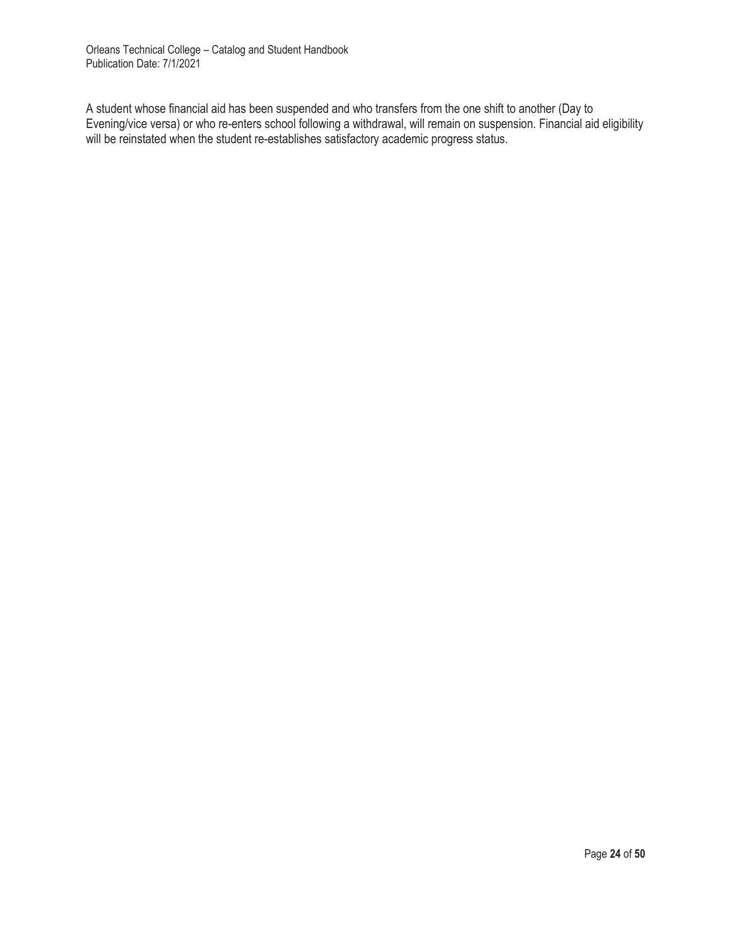A student whose financial aid has been suspended and who transfers from the one shift to another (Day to Evening/vice versa) or who re-enters school following a withdrawal, will remain on suspension. Financial aid eligibility will be reinstated when the student re-establishes satisfactory academic progress status.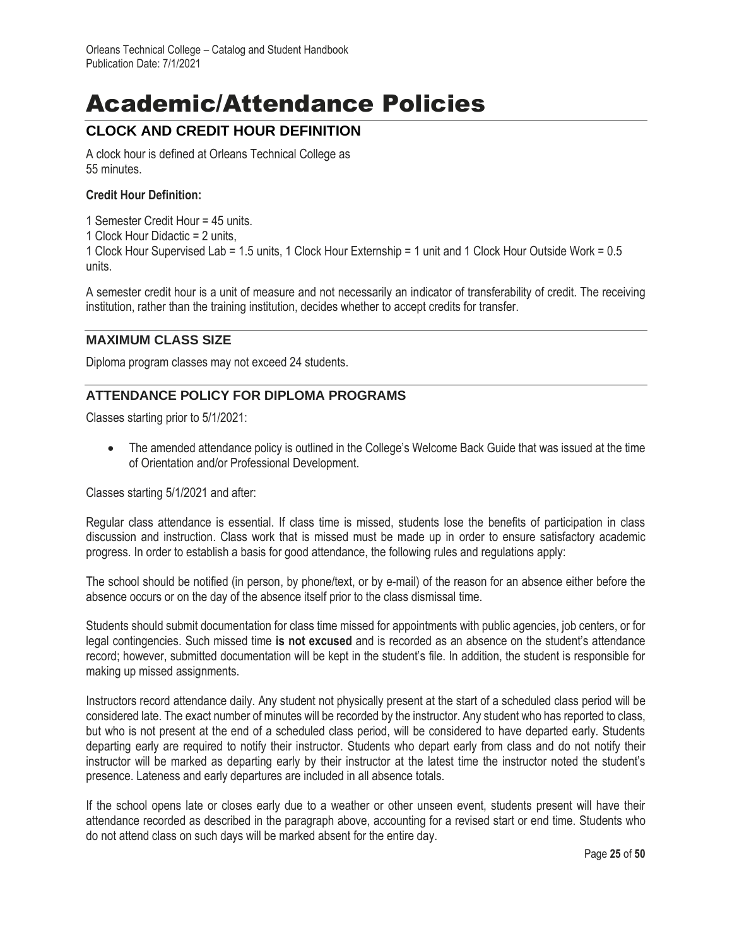# Academic/Attendance Policies

# **CLOCK AND CREDIT HOUR DEFINITION**

A clock hour is defined at Orleans Technical College as 55 minutes.

## **Credit Hour Definition:**

- 1 Semester Credit Hour = 45 units.
- 1 Clock Hour Didactic = 2 units,

1 Clock Hour Supervised Lab = 1.5 units, 1 Clock Hour Externship = 1 unit and 1 Clock Hour Outside Work = 0.5 units.

A semester credit hour is a unit of measure and not necessarily an indicator of transferability of credit. The receiving institution, rather than the training institution, decides whether to accept credits for transfer.

## **MAXIMUM CLASS SIZE**

Diploma program classes may not exceed 24 students.

# **ATTENDANCE POLICY FOR DIPLOMA PROGRAMS**

Classes starting prior to 5/1/2021:

• The amended attendance policy is outlined in the College's Welcome Back Guide that was issued at the time of Orientation and/or Professional Development.

Classes starting 5/1/2021 and after:

Regular class attendance is essential. If class time is missed, students lose the benefits of participation in class discussion and instruction. Class work that is missed must be made up in order to ensure satisfactory academic progress. In order to establish a basis for good attendance, the following rules and regulations apply:

The school should be notified (in person, by phone/text, or by e-mail) of the reason for an absence either before the absence occurs or on the day of the absence itself prior to the class dismissal time.

Students should submit documentation for class time missed for appointments with public agencies, job centers, or for legal contingencies. Such missed time **is not excused** and is recorded as an absence on the student's attendance record; however, submitted documentation will be kept in the student's file. In addition, the student is responsible for making up missed assignments.

Instructors record attendance daily. Any student not physically present at the start of a scheduled class period will be considered late. The exact number of minutes will be recorded by the instructor. Any student who has reported to class, but who is not present at the end of a scheduled class period, will be considered to have departed early. Students departing early are required to notify their instructor. Students who depart early from class and do not notify their instructor will be marked as departing early by their instructor at the latest time the instructor noted the student's presence. Lateness and early departures are included in all absence totals.

If the school opens late or closes early due to a weather or other unseen event, students present will have their attendance recorded as described in the paragraph above, accounting for a revised start or end time. Students who do not attend class on such days will be marked absent for the entire day.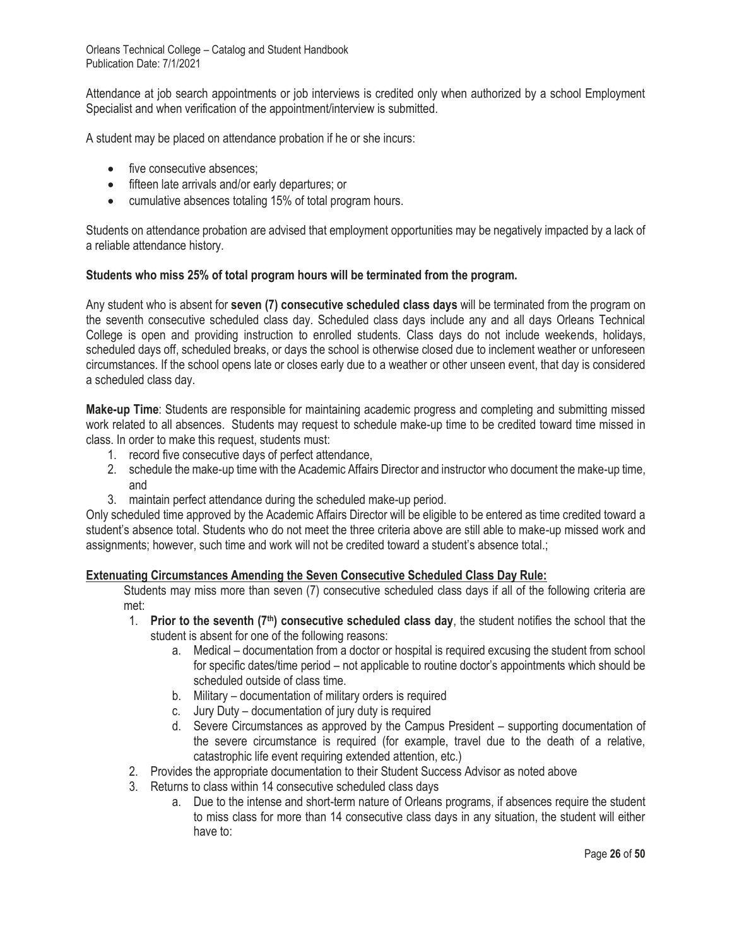Attendance at job search appointments or job interviews is credited only when authorized by a school Employment Specialist and when verification of the appointment/interview is submitted.

A student may be placed on attendance probation if he or she incurs:

- five consecutive absences;
- fifteen late arrivals and/or early departures; or
- cumulative absences totaling 15% of total program hours.

Students on attendance probation are advised that employment opportunities may be negatively impacted by a lack of a reliable attendance history.

### **Students who miss 25% of total program hours will be terminated from the program.**

Any student who is absent for **seven (7) consecutive scheduled class days** will be terminated from the program on the seventh consecutive scheduled class day. Scheduled class days include any and all days Orleans Technical College is open and providing instruction to enrolled students. Class days do not include weekends, holidays, scheduled days off, scheduled breaks, or days the school is otherwise closed due to inclement weather or unforeseen circumstances. If the school opens late or closes early due to a weather or other unseen event, that day is considered a scheduled class day.

**Make-up Time**: Students are responsible for maintaining academic progress and completing and submitting missed work related to all absences. Students may request to schedule make-up time to be credited toward time missed in class. In order to make this request, students must:

- 1. record five consecutive days of perfect attendance,
- 2. schedule the make-up time with the Academic Affairs Director and instructor who document the make-up time, and
- 3. maintain perfect attendance during the scheduled make-up period.

Only scheduled time approved by the Academic Affairs Director will be eligible to be entered as time credited toward a student's absence total. Students who do not meet the three criteria above are still able to make-up missed work and assignments; however, such time and work will not be credited toward a student's absence total.;

## **Extenuating Circumstances Amending the Seven Consecutive Scheduled Class Day Rule:**

Students may miss more than seven (7) consecutive scheduled class days if all of the following criteria are met:

- 1. **Prior to the seventh (7th) consecutive scheduled class day**, the student notifies the school that the student is absent for one of the following reasons:
	- a. Medical documentation from a doctor or hospital is required excusing the student from school for specific dates/time period – not applicable to routine doctor's appointments which should be scheduled outside of class time.
	- b. Military documentation of military orders is required
	- c. Jury Duty documentation of jury duty is required
	- d. Severe Circumstances as approved by the Campus President supporting documentation of the severe circumstance is required (for example, travel due to the death of a relative, catastrophic life event requiring extended attention, etc.)
- 2. Provides the appropriate documentation to their Student Success Advisor as noted above
- 3. Returns to class within 14 consecutive scheduled class days
	- a. Due to the intense and short-term nature of Orleans programs, if absences require the student to miss class for more than 14 consecutive class days in any situation, the student will either have to: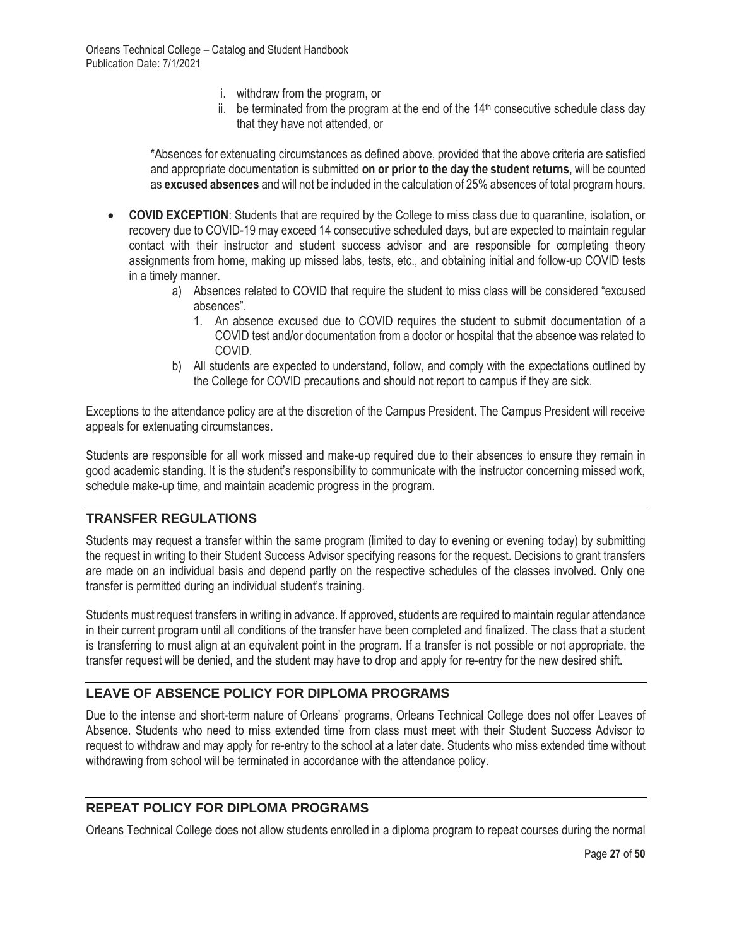- i. withdraw from the program, or
- ii. be terminated from the program at the end of the  $14<sup>th</sup>$  consecutive schedule class day that they have not attended, or

\*Absences for extenuating circumstances as defined above, provided that the above criteria are satisfied and appropriate documentation is submitted **on or prior to the day the student returns**, will be counted as **excused absences** and will not be included in the calculation of 25% absences of total program hours.

- **COVID EXCEPTION**: Students that are required by the College to miss class due to quarantine, isolation, or recovery due to COVID-19 may exceed 14 consecutive scheduled days, but are expected to maintain regular contact with their instructor and student success advisor and are responsible for completing theory assignments from home, making up missed labs, tests, etc., and obtaining initial and follow-up COVID tests in a timely manner.
	- a) Absences related to COVID that require the student to miss class will be considered "excused absences".
		- 1. An absence excused due to COVID requires the student to submit documentation of a COVID test and/or documentation from a doctor or hospital that the absence was related to COVID.
	- b) All students are expected to understand, follow, and comply with the expectations outlined by the College for COVID precautions and should not report to campus if they are sick.

Exceptions to the attendance policy are at the discretion of the Campus President. The Campus President will receive appeals for extenuating circumstances.

Students are responsible for all work missed and make-up required due to their absences to ensure they remain in good academic standing. It is the student's responsibility to communicate with the instructor concerning missed work, schedule make-up time, and maintain academic progress in the program.

## **TRANSFER REGULATIONS**

Students may request a transfer within the same program (limited to day to evening or evening today) by submitting the request in writing to their Student Success Advisor specifying reasons for the request. Decisions to grant transfers are made on an individual basis and depend partly on the respective schedules of the classes involved. Only one transfer is permitted during an individual student's training.

Students must request transfers in writing in advance. If approved, students are required to maintain regular attendance in their current program until all conditions of the transfer have been completed and finalized. The class that a student is transferring to must align at an equivalent point in the program. If a transfer is not possible or not appropriate, the transfer request will be denied, and the student may have to drop and apply for re-entry for the new desired shift.

## **LEAVE OF ABSENCE POLICY FOR DIPLOMA PROGRAMS**

Due to the intense and short-term nature of Orleans' programs, Orleans Technical College does not offer Leaves of Absence. Students who need to miss extended time from class must meet with their Student Success Advisor to request to withdraw and may apply for re-entry to the school at a later date. Students who miss extended time without withdrawing from school will be terminated in accordance with the attendance policy.

# **REPEAT POLICY FOR DIPLOMA PROGRAMS**

Orleans Technical College does not allow students enrolled in a diploma program to repeat courses during the normal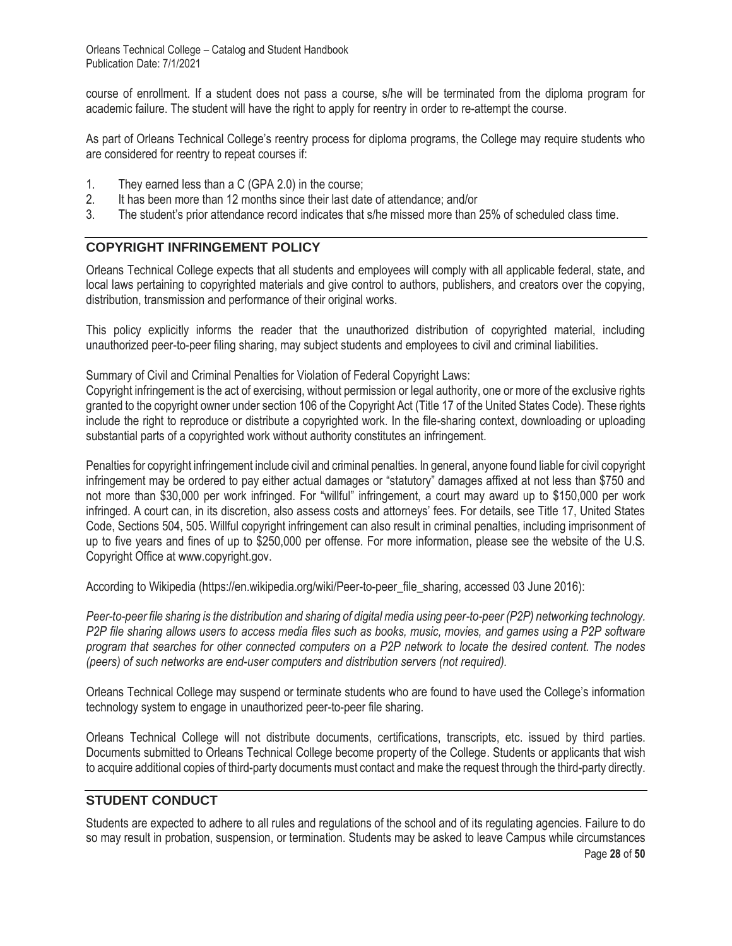course of enrollment. If a student does not pass a course, s/he will be terminated from the diploma program for academic failure. The student will have the right to apply for reentry in order to re-attempt the course.

As part of Orleans Technical College's reentry process for diploma programs, the College may require students who are considered for reentry to repeat courses if:

- 1. They earned less than a C (GPA 2.0) in the course;
- 2. It has been more than 12 months since their last date of attendance; and/or
- 3. The student's prior attendance record indicates that s/he missed more than 25% of scheduled class time.

## **COPYRIGHT INFRINGEMENT POLICY**

Orleans Technical College expects that all students and employees will comply with all applicable federal, state, and local laws pertaining to copyrighted materials and give control to authors, publishers, and creators over the copying, distribution, transmission and performance of their original works.

This policy explicitly informs the reader that the unauthorized distribution of copyrighted material, including unauthorized peer-to-peer filing sharing, may subject students and employees to civil and criminal liabilities.

Summary of Civil and Criminal Penalties for Violation of Federal Copyright Laws:

Copyright infringement is the act of exercising, without permission or legal authority, one or more of the exclusive rights granted to the copyright owner under section 106 of the Copyright Act (Title 17 of the United States Code). These rights include the right to reproduce or distribute a copyrighted work. In the file-sharing context, downloading or uploading substantial parts of a copyrighted work without authority constitutes an infringement.

Penalties for copyright infringement include civil and criminal penalties. In general, anyone found liable for civil copyright infringement may be ordered to pay either actual damages or "statutory" damages affixed at not less than \$750 and not more than \$30,000 per work infringed. For "willful" infringement, a court may award up to \$150,000 per work infringed. A court can, in its discretion, also assess costs and attorneys' fees. For details, see Title 17, United States Code, Sections 504, 505. Willful copyright infringement can also result in criminal penalties, including imprisonment of up to five years and fines of up to \$250,000 per offense. For more information, please see the website of the U.S. Copyright Office at www.copyright.gov.

According to Wikipedia (https://en.wikipedia.org/wiki/Peer-to-peer\_file\_sharing, accessed 03 June 2016):

*Peer-to-peer file sharing is the distribution and sharing of digital media using peer-to-peer (P2P) networking technology. P2P file sharing allows users to access media files such as books, music, movies, and games using a P2P software program that searches for other connected computers on a P2P network to locate the desired content. The nodes (peers) of such networks are end-user computers and distribution servers (not required).*

Orleans Technical College may suspend or terminate students who are found to have used the College's information technology system to engage in unauthorized peer-to-peer file sharing.

Orleans Technical College will not distribute documents, certifications, transcripts, etc. issued by third parties. Documents submitted to Orleans Technical College become property of the College. Students or applicants that wish to acquire additional copies of third-party documents must contact and make the request through the third-party directly.

# **STUDENT CONDUCT**

Students are expected to adhere to all rules and regulations of the school and of its regulating agencies. Failure to do so may result in probation, suspension, or termination. Students may be asked to leave Campus while circumstances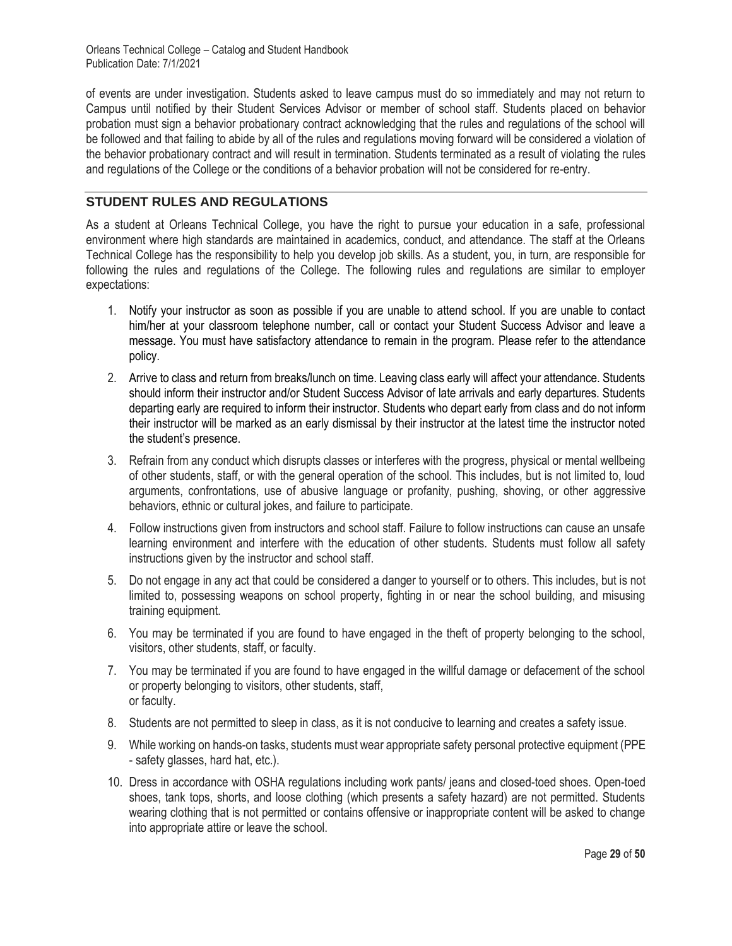of events are under investigation. Students asked to leave campus must do so immediately and may not return to Campus until notified by their Student Services Advisor or member of school staff. Students placed on behavior probation must sign a behavior probationary contract acknowledging that the rules and regulations of the school will be followed and that failing to abide by all of the rules and regulations moving forward will be considered a violation of the behavior probationary contract and will result in termination. Students terminated as a result of violating the rules and regulations of the College or the conditions of a behavior probation will not be considered for re-entry.

## **STUDENT RULES AND REGULATIONS**

As a student at Orleans Technical College, you have the right to pursue your education in a safe, professional environment where high standards are maintained in academics, conduct, and attendance. The staff at the Orleans Technical College has the responsibility to help you develop job skills. As a student, you, in turn, are responsible for following the rules and regulations of the College. The following rules and regulations are similar to employer expectations:

- 1. Notify your instructor as soon as possible if you are unable to attend school. If you are unable to contact him/her at your classroom telephone number, call or contact your Student Success Advisor and leave a message. You must have satisfactory attendance to remain in the program. Please refer to the attendance policy.
- 2. Arrive to class and return from breaks/lunch on time. Leaving class early will affect your attendance. Students should inform their instructor and/or Student Success Advisor of late arrivals and early departures. Students departing early are required to inform their instructor. Students who depart early from class and do not inform their instructor will be marked as an early dismissal by their instructor at the latest time the instructor noted the student's presence.
- 3. Refrain from any conduct which disrupts classes or interferes with the progress, physical or mental wellbeing of other students, staff, or with the general operation of the school. This includes, but is not limited to, loud arguments, confrontations, use of abusive language or profanity, pushing, shoving, or other aggressive behaviors, ethnic or cultural jokes, and failure to participate.
- 4. Follow instructions given from instructors and school staff. Failure to follow instructions can cause an unsafe learning environment and interfere with the education of other students. Students must follow all safety instructions given by the instructor and school staff.
- 5. Do not engage in any act that could be considered a danger to yourself or to others. This includes, but is not limited to, possessing weapons on school property, fighting in or near the school building, and misusing training equipment.
- 6. You may be terminated if you are found to have engaged in the theft of property belonging to the school, visitors, other students, staff, or faculty.
- 7. You may be terminated if you are found to have engaged in the willful damage or defacement of the school or property belonging to visitors, other students, staff, or faculty.
- 8. Students are not permitted to sleep in class, as it is not conducive to learning and creates a safety issue.
- 9. While working on hands-on tasks, students must wear appropriate safety personal protective equipment (PPE - safety glasses, hard hat, etc.).
- 10. Dress in accordance with OSHA regulations including work pants/ jeans and closed-toed shoes. Open-toed shoes, tank tops, shorts, and loose clothing (which presents a safety hazard) are not permitted. Students wearing clothing that is not permitted or contains offensive or inappropriate content will be asked to change into appropriate attire or leave the school.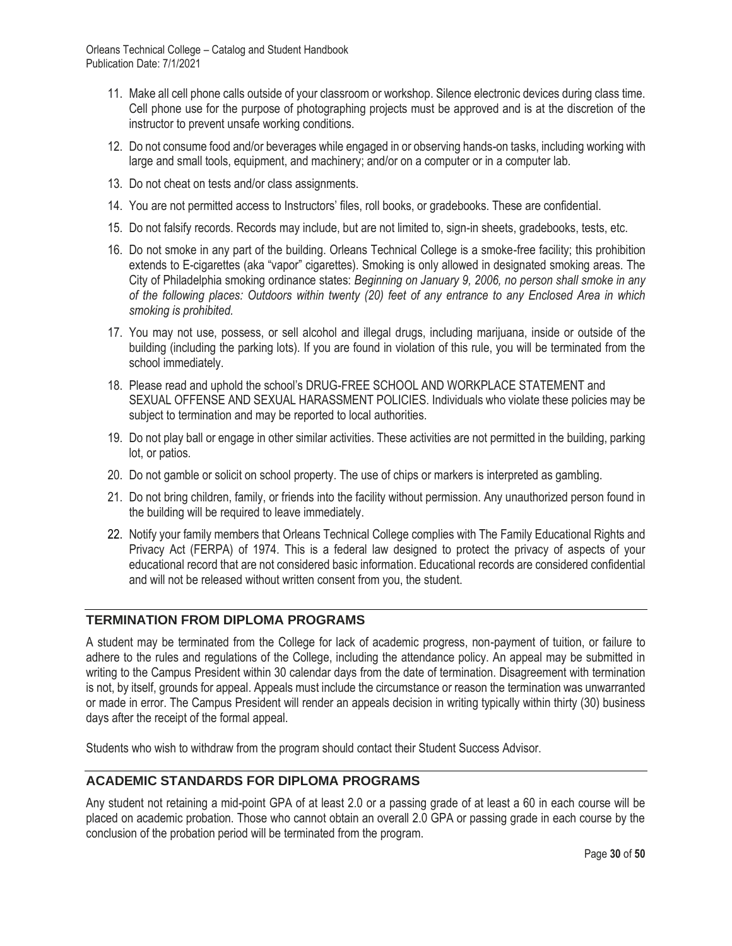- 11. Make all cell phone calls outside of your classroom or workshop. Silence electronic devices during class time. Cell phone use for the purpose of photographing projects must be approved and is at the discretion of the instructor to prevent unsafe working conditions.
- 12. Do not consume food and/or beverages while engaged in or observing hands-on tasks, including working with large and small tools, equipment, and machinery; and/or on a computer or in a computer lab.
- 13. Do not cheat on tests and/or class assignments.
- 14. You are not permitted access to Instructors' files, roll books, or gradebooks. These are confidential.
- 15. Do not falsify records. Records may include, but are not limited to, sign-in sheets, gradebooks, tests, etc.
- 16. Do not smoke in any part of the building. Orleans Technical College is a smoke-free facility; this prohibition extends to E-cigarettes (aka "vapor" cigarettes). Smoking is only allowed in designated smoking areas. The City of Philadelphia smoking ordinance states: *Beginning on January 9, 2006, no person shall smoke in any of the following places: Outdoors within twenty (20) feet of any entrance to any Enclosed Area in which smoking is prohibited.*
- 17. You may not use, possess, or sell alcohol and illegal drugs, including marijuana, inside or outside of the building (including the parking lots). If you are found in violation of this rule, you will be terminated from the school immediately.
- 18. Please read and uphold the school's DRUG-FREE SCHOOL AND WORKPLACE STATEMENT and SEXUAL OFFENSE AND SEXUAL HARASSMENT POLICIES. Individuals who violate these policies may be subject to termination and may be reported to local authorities.
- 19. Do not play ball or engage in other similar activities. These activities are not permitted in the building, parking lot, or patios.
- 20. Do not gamble or solicit on school property. The use of chips or markers is interpreted as gambling.
- 21. Do not bring children, family, or friends into the facility without permission. Any unauthorized person found in the building will be required to leave immediately.
- 22. Notify your family members that Orleans Technical College complies with The Family Educational Rights and Privacy Act (FERPA) of 1974. This is a federal law designed to protect the privacy of aspects of your educational record that are not considered basic information. Educational records are considered confidential and will not be released without written consent from you, the student.

### **TERMINATION FROM DIPLOMA PROGRAMS**

A student may be terminated from the College for lack of academic progress, non-payment of tuition, or failure to adhere to the rules and regulations of the College, including the attendance policy. An appeal may be submitted in writing to the Campus President within 30 calendar days from the date of termination. Disagreement with termination is not, by itself, grounds for appeal. Appeals must include the circumstance or reason the termination was unwarranted or made in error. The Campus President will render an appeals decision in writing typically within thirty (30) business days after the receipt of the formal appeal.

Students who wish to withdraw from the program should contact their Student Success Advisor.

### **ACADEMIC STANDARDS FOR DIPLOMA PROGRAMS**

Any student not retaining a mid-point GPA of at least 2.0 or a passing grade of at least a 60 in each course will be placed on academic probation. Those who cannot obtain an overall 2.0 GPA or passing grade in each course by the conclusion of the probation period will be terminated from the program.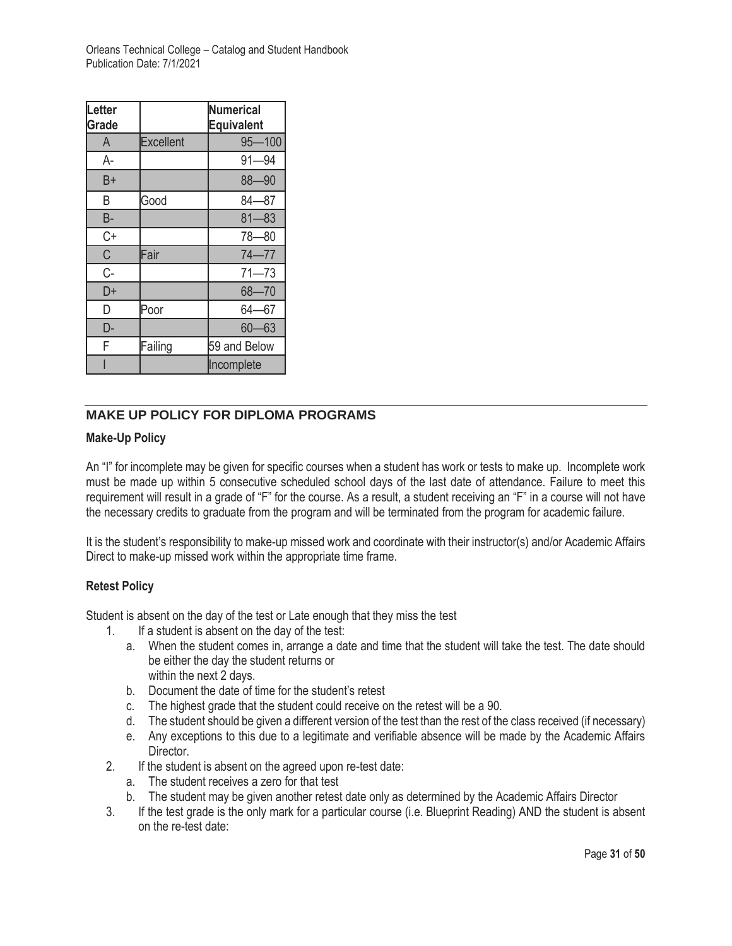| Letter<br>Grade |                  | Numerical<br><b>Equivalent</b> |
|-----------------|------------------|--------------------------------|
| A               | <b>Excellent</b> | $95 - 100$                     |
| A-              |                  | $91 - 94$                      |
| B+              |                  | $88 - 90$                      |
| B               | Good             | $84 - 87$                      |
| <b>B-</b>       |                  | $81 - 83$                      |
| C+              |                  | $78 - 80$                      |
| C               | Fair             | $74 - 77$                      |
| $C-$            |                  | $71 - 73$                      |
| D+              |                  | $68 - 70$                      |
| D               | Poor             | $64 - 67$                      |
| D-              |                  | $60 - 63$                      |
| F               | Failing          | 59 and Below                   |
|                 |                  | Incomplete                     |

## **MAKE UP POLICY FOR DIPLOMA PROGRAMS**

## **Make-Up Policy**

An "I" for incomplete may be given for specific courses when a student has work or tests to make up. Incomplete work must be made up within 5 consecutive scheduled school days of the last date of attendance. Failure to meet this requirement will result in a grade of "F" for the course. As a result, a student receiving an "F" in a course will not have the necessary credits to graduate from the program and will be terminated from the program for academic failure.

It is the student's responsibility to make-up missed work and coordinate with their instructor(s) and/or Academic Affairs Direct to make-up missed work within the appropriate time frame.

## **Retest Policy**

Student is absent on the day of the test or Late enough that they miss the test

- 1. If a student is absent on the day of the test:
	- a. When the student comes in, arrange a date and time that the student will take the test. The date should be either the day the student returns or within the next 2 days.
	- b. Document the date of time for the student's retest
	- c. The highest grade that the student could receive on the retest will be a 90.
	- d. The student should be given a different version of the test than the rest of the class received (if necessary)
	- e. Any exceptions to this due to a legitimate and verifiable absence will be made by the Academic Affairs Director.
- 2. If the student is absent on the agreed upon re-test date:
	- a. The student receives a zero for that test
	- b. The student may be given another retest date only as determined by the Academic Affairs Director
- 3. If the test grade is the only mark for a particular course (i.e. Blueprint Reading) AND the student is absent on the re-test date: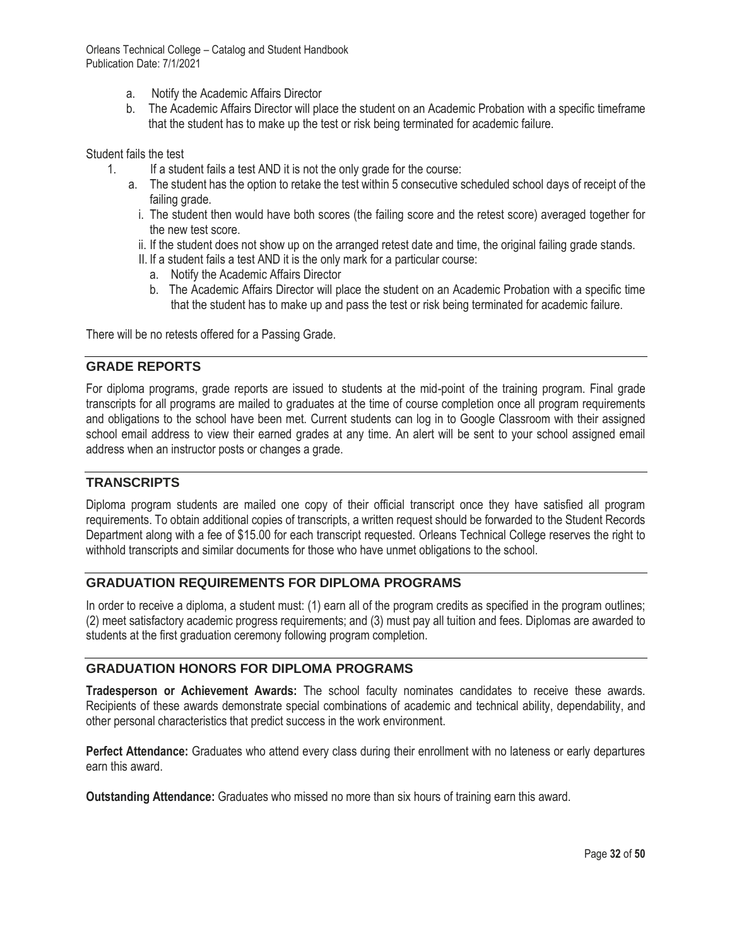- a. Notify the Academic Affairs Director
- b. The Academic Affairs Director will place the student on an Academic Probation with a specific timeframe that the student has to make up the test or risk being terminated for academic failure.

Student fails the test

- 1. If a student fails a test AND it is not the only grade for the course:
	- a. The student has the option to retake the test within 5 consecutive scheduled school days of receipt of the failing grade.
		- i. The student then would have both scores (the failing score and the retest score) averaged together for the new test score.
		- ii. If the student does not show up on the arranged retest date and time, the original failing grade stands.
		- II. If a student fails a test AND it is the only mark for a particular course:
			- a. Notify the Academic Affairs Director
			- b. The Academic Affairs Director will place the student on an Academic Probation with a specific time that the student has to make up and pass the test or risk being terminated for academic failure.

There will be no retests offered for a Passing Grade.

#### **GRADE REPORTS**

For diploma programs, grade reports are issued to students at the mid-point of the training program. Final grade transcripts for all programs are mailed to graduates at the time of course completion once all program requirements and obligations to the school have been met. Current students can log in to Google Classroom with their assigned school email address to view their earned grades at any time. An alert will be sent to your school assigned email address when an instructor posts or changes a grade.

### **TRANSCRIPTS**

Diploma program students are mailed one copy of their official transcript once they have satisfied all program requirements. To obtain additional copies of transcripts, a written request should be forwarded to the Student Records Department along with a fee of \$15.00 for each transcript requested. Orleans Technical College reserves the right to withhold transcripts and similar documents for those who have unmet obligations to the school.

### **GRADUATION REQUIREMENTS FOR DIPLOMA PROGRAMS**

In order to receive a diploma, a student must: (1) earn all of the program credits as specified in the program outlines; (2) meet satisfactory academic progress requirements; and (3) must pay all tuition and fees. Diplomas are awarded to students at the first graduation ceremony following program completion.

### **GRADUATION HONORS FOR DIPLOMA PROGRAMS**

**Tradesperson or Achievement Awards:** The school faculty nominates candidates to receive these awards. Recipients of these awards demonstrate special combinations of academic and technical ability, dependability, and other personal characteristics that predict success in the work environment.

**Perfect Attendance:** Graduates who attend every class during their enrollment with no lateness or early departures earn this award.

**Outstanding Attendance:** Graduates who missed no more than six hours of training earn this award.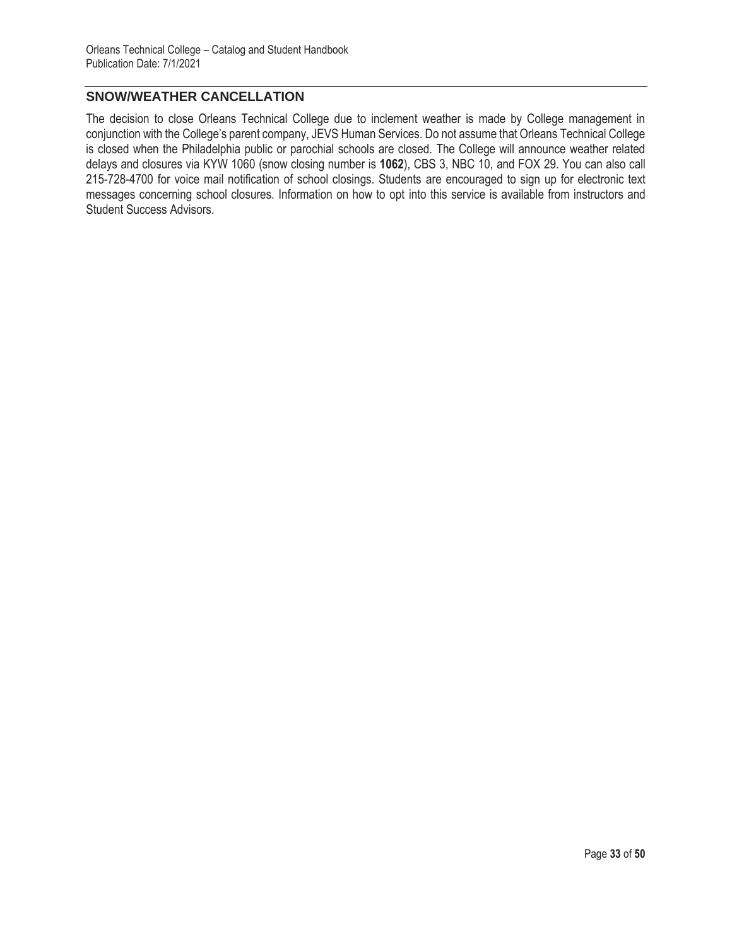## **SNOW/WEATHER CANCELLATION**

The decision to close Orleans Technical College due to inclement weather is made by College management in conjunction with the College's parent company, JEVS Human Services. Do not assume that Orleans Technical College is closed when the Philadelphia public or parochial schools are closed. The College will announce weather related delays and closures via KYW 1060 (snow closing number is **1062**), CBS 3, NBC 10, and FOX 29. You can also call 215-728-4700 for voice mail notification of school closings. Students are encouraged to sign up for electronic text messages concerning school closures. Information on how to opt into this service is available from instructors and Student Success Advisors.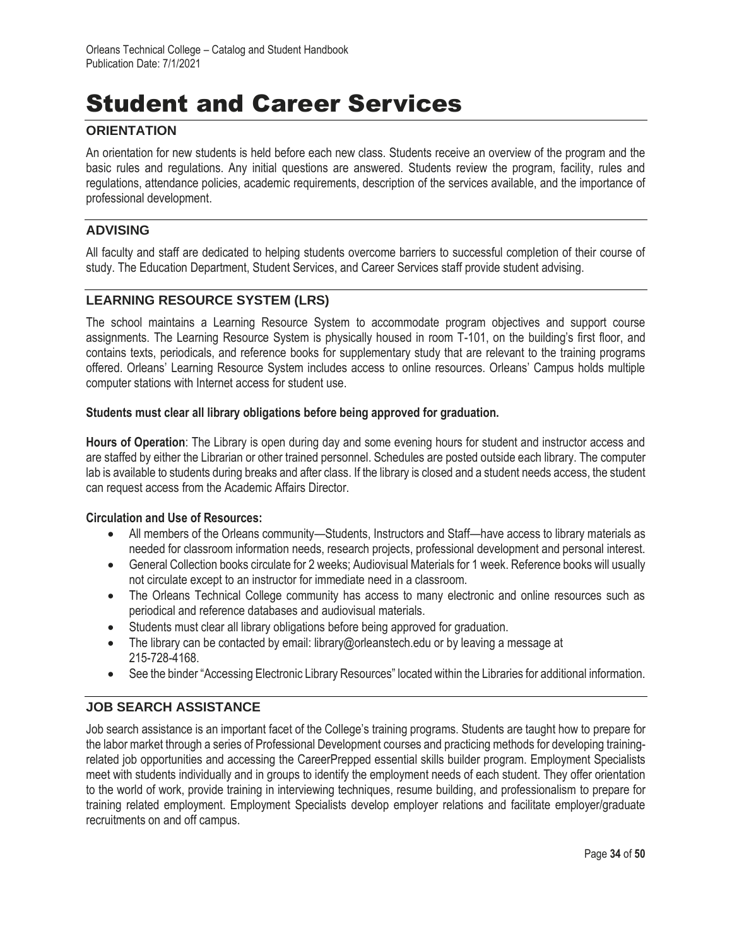# Student and Career Services

## **ORIENTATION**

An orientation for new students is held before each new class. Students receive an overview of the program and the basic rules and regulations. Any initial questions are answered. Students review the program, facility, rules and regulations, attendance policies, academic requirements, description of the services available, and the importance of professional development.

## **ADVISING**

All faculty and staff are dedicated to helping students overcome barriers to successful completion of their course of study. The Education Department, Student Services, and Career Services staff provide student advising.

## **LEARNING RESOURCE SYSTEM (LRS)**

The school maintains a Learning Resource System to accommodate program objectives and support course assignments. The Learning Resource System is physically housed in room T-101, on the building's first floor, and contains texts, periodicals, and reference books for supplementary study that are relevant to the training programs offered. Orleans' Learning Resource System includes access to online resources. Orleans' Campus holds multiple computer stations with Internet access for student use.

#### **Students must clear all library obligations before being approved for graduation.**

**Hours of Operation**: The Library is open during day and some evening hours for student and instructor access and are staffed by either the Librarian or other trained personnel. Schedules are posted outside each library. The computer lab is available to students during breaks and after class. If the library is closed and a student needs access, the student can request access from the Academic Affairs Director.

### **Circulation and Use of Resources:**

- All members of the Orleans community—Students, Instructors and Staff—have access to library materials as needed for classroom information needs, research projects, professional development and personal interest.
- General Collection books circulate for 2 weeks; Audiovisual Materials for 1 week. Reference books will usually not circulate except to an instructor for immediate need in a classroom.
- The Orleans Technical College community has access to many electronic and online resources such as periodical and reference databases and audiovisual materials.
- Students must clear all library obligations before being approved for graduation.
- The library can be contacted by email: library@orleanstech.edu or by leaving a message at 215-728-4168.
- See the binder "Accessing Electronic Library Resources" located within the Libraries for additional information.

## **JOB SEARCH ASSISTANCE**

Job search assistance is an important facet of the College's training programs. Students are taught how to prepare for the labor market through a series of Professional Development courses and practicing methods for developing trainingrelated job opportunities and accessing the CareerPrepped essential skills builder program. Employment Specialists meet with students individually and in groups to identify the employment needs of each student. They offer orientation to the world of work, provide training in interviewing techniques, resume building, and professionalism to prepare for training related employment. Employment Specialists develop employer relations and facilitate employer/graduate recruitments on and off campus.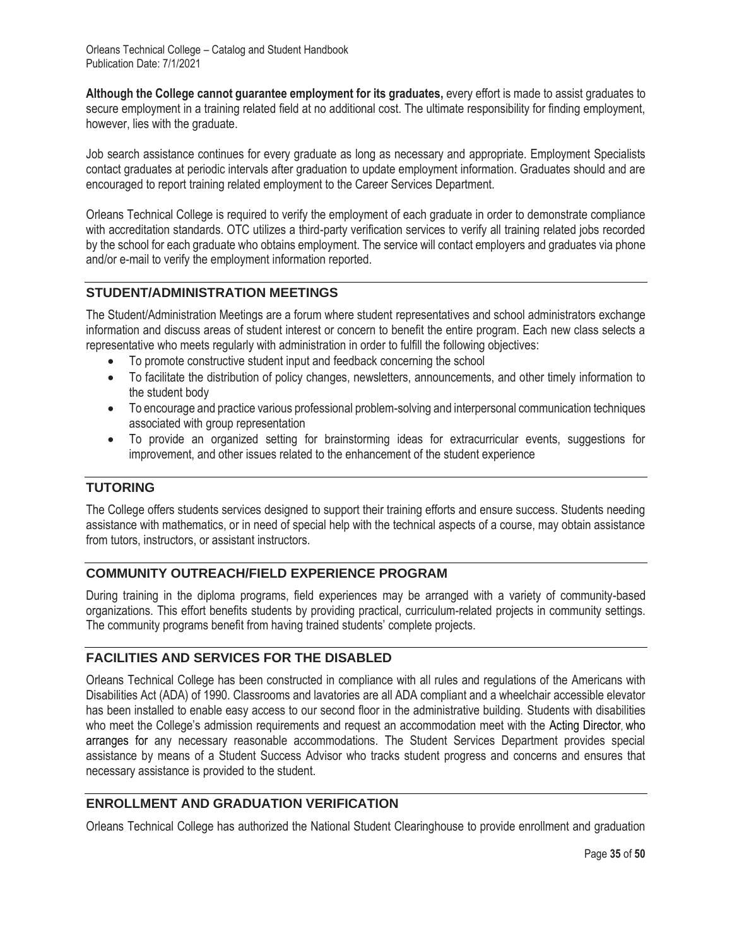**Although the College cannot guarantee employment for its graduates,** every effort is made to assist graduates to secure employment in a training related field at no additional cost. The ultimate responsibility for finding employment, however, lies with the graduate.

Job search assistance continues for every graduate as long as necessary and appropriate. Employment Specialists contact graduates at periodic intervals after graduation to update employment information. Graduates should and are encouraged to report training related employment to the Career Services Department.

Orleans Technical College is required to verify the employment of each graduate in order to demonstrate compliance with accreditation standards. OTC utilizes a third-party verification services to verify all training related jobs recorded by the school for each graduate who obtains employment. The service will contact employers and graduates via phone and/or e-mail to verify the employment information reported.

## **STUDENT/ADMINISTRATION MEETINGS**

The Student/Administration Meetings are a forum where student representatives and school administrators exchange information and discuss areas of student interest or concern to benefit the entire program. Each new class selects a representative who meets regularly with administration in order to fulfill the following objectives:

- To promote constructive student input and feedback concerning the school
- To facilitate the distribution of policy changes, newsletters, announcements, and other timely information to the student body
- To encourage and practice various professional problem-solving and interpersonal communication techniques associated with group representation
- To provide an organized setting for brainstorming ideas for extracurricular events, suggestions for improvement, and other issues related to the enhancement of the student experience

## **TUTORING**

The College offers students services designed to support their training efforts and ensure success. Students needing assistance with mathematics, or in need of special help with the technical aspects of a course, may obtain assistance from tutors, instructors, or assistant instructors.

## **COMMUNITY OUTREACH/FIELD EXPERIENCE PROGRAM**

During training in the diploma programs, field experiences may be arranged with a variety of community-based organizations. This effort benefits students by providing practical, curriculum-related projects in community settings. The community programs benefit from having trained students' complete projects.

# **FACILITIES AND SERVICES FOR THE DISABLED**

Orleans Technical College has been constructed in compliance with all rules and regulations of the Americans with Disabilities Act (ADA) of 1990. Classrooms and lavatories are all ADA compliant and a wheelchair accessible elevator has been installed to enable easy access to our second floor in the administrative building. Students with disabilities who meet the College's admission requirements and request an accommodation meet with the Acting Director, who arranges for any necessary reasonable accommodations. The Student Services Department provides special assistance by means of a Student Success Advisor who tracks student progress and concerns and ensures that necessary assistance is provided to the student.

# **ENROLLMENT AND GRADUATION VERIFICATION**

Orleans Technical College has authorized the National Student Clearinghouse to provide enrollment and graduation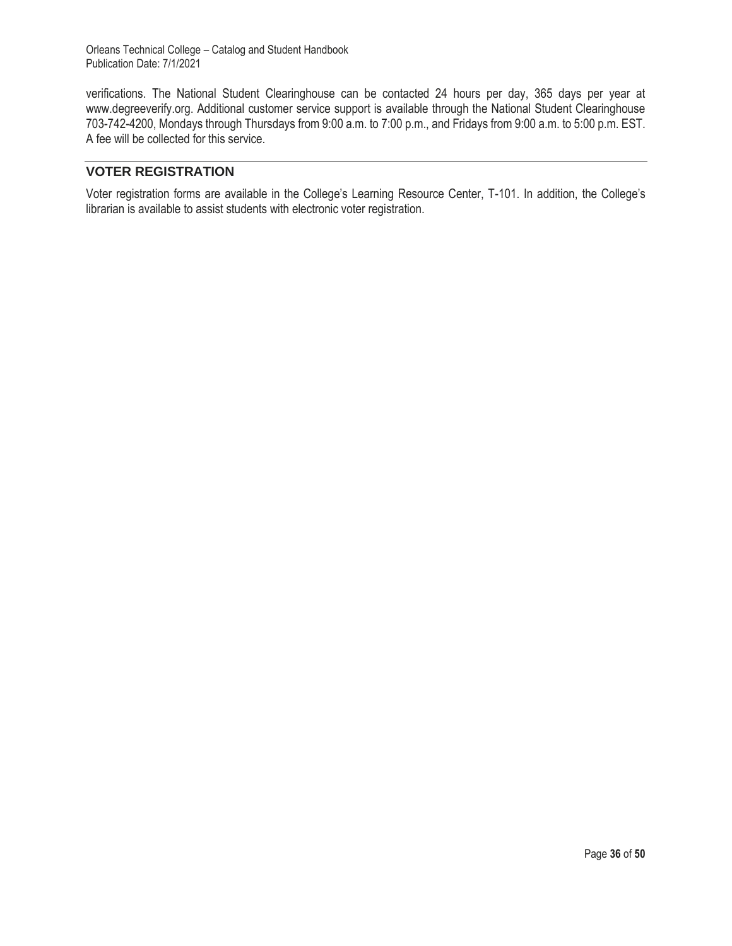verifications. The National Student Clearinghouse can be contacted 24 hours per day, 365 days per year at www.degreeverify.org. Additional customer service support is available through the National Student Clearinghouse 703-742-4200, Mondays through Thursdays from 9:00 a.m. to 7:00 p.m., and Fridays from 9:00 a.m. to 5:00 p.m. EST. A fee will be collected for this service.

## **VOTER REGISTRATION**

Voter registration forms are available in the College's Learning Resource Center, T-101. In addition, the College's librarian is available to assist students with electronic voter registration.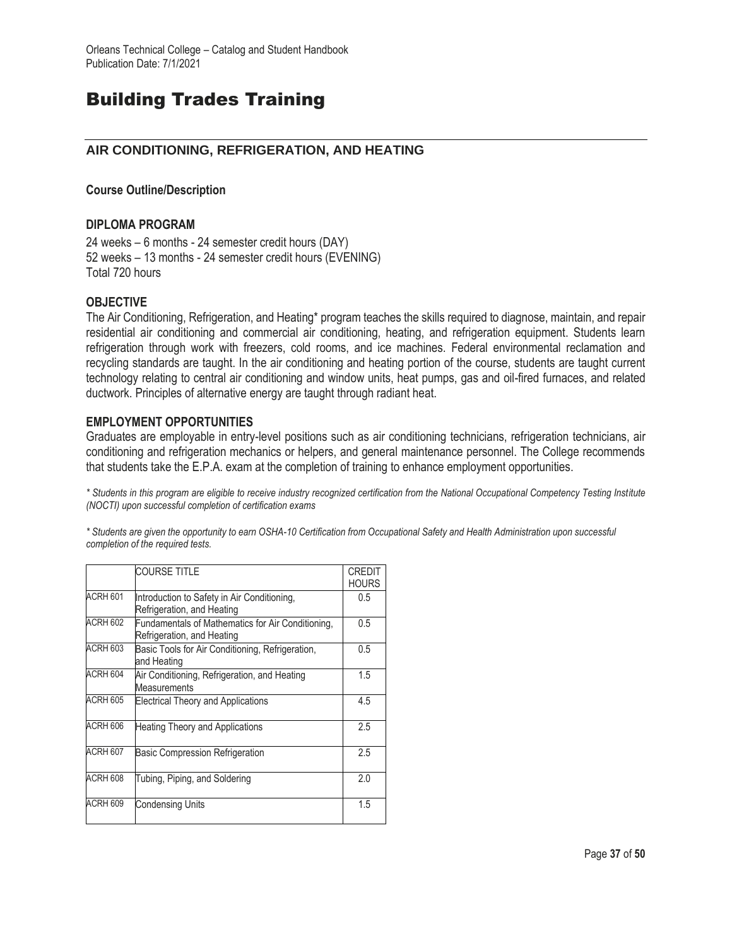# Building Trades Training

## **AIR CONDITIONING, REFRIGERATION, AND HEATING**

#### **Course Outline/Description**

#### **DIPLOMA PROGRAM**

24 weeks – 6 months - 24 semester credit hours (DAY) 52 weeks – 13 months - 24 semester credit hours (EVENING) Total 720 hours

#### **OBJECTIVE**

The Air Conditioning, Refrigeration, and Heating\* program teaches the skills required to diagnose, maintain, and repair residential air conditioning and commercial air conditioning, heating, and refrigeration equipment. Students learn refrigeration through work with freezers, cold rooms, and ice machines. Federal environmental reclamation and recycling standards are taught. In the air conditioning and heating portion of the course, students are taught current technology relating to central air conditioning and window units, heat pumps, gas and oil-fired furnaces, and related ductwork. Principles of alternative energy are taught through radiant heat.

### **EMPLOYMENT OPPORTUNITIES**

Graduates are employable in entry-level positions such as air conditioning technicians, refrigeration technicians, air conditioning and refrigeration mechanics or helpers, and general maintenance personnel. The College recommends that students take the E.P.A. exam at the completion of training to enhance employment opportunities.

*\* Students in this program are eligible to receive industry recognized certification from the National Occupational Competency Testing Institute (NOCTI) upon successful completion of certification exams*

*\* Students are given the opportunity to earn OSHA-10 Certification from Occupational Safety and Health Administration upon successful completion of the required tests.*

|                 | <b>COURSE TITLE</b>                                                             | <b>CREDIT</b><br><b>HOURS</b> |
|-----------------|---------------------------------------------------------------------------------|-------------------------------|
| ACRH 601        | Introduction to Safety in Air Conditioning,<br>Refrigeration, and Heating       | 0.5                           |
| ACRH 602        | Fundamentals of Mathematics for Air Conditioning,<br>Refrigeration, and Heating | 0.5                           |
| <b>ACRH 603</b> | Basic Tools for Air Conditioning, Refrigeration,<br>and Heating                 | 0.5                           |
| ACRH 604        | Air Conditioning, Refrigeration, and Heating<br><b>Measurements</b>             | 1.5                           |
| ACRH 605        | <b>Electrical Theory and Applications</b>                                       | 4.5                           |
| ACRH 606        | Heating Theory and Applications                                                 | 2.5                           |
| <b>ACRH 607</b> | <b>Basic Compression Refrigeration</b>                                          | 2.5                           |
| ACRH 608        | Tubing, Piping, and Soldering                                                   | 2.0                           |
| ACRH 609        | Condensing Units                                                                | 1.5                           |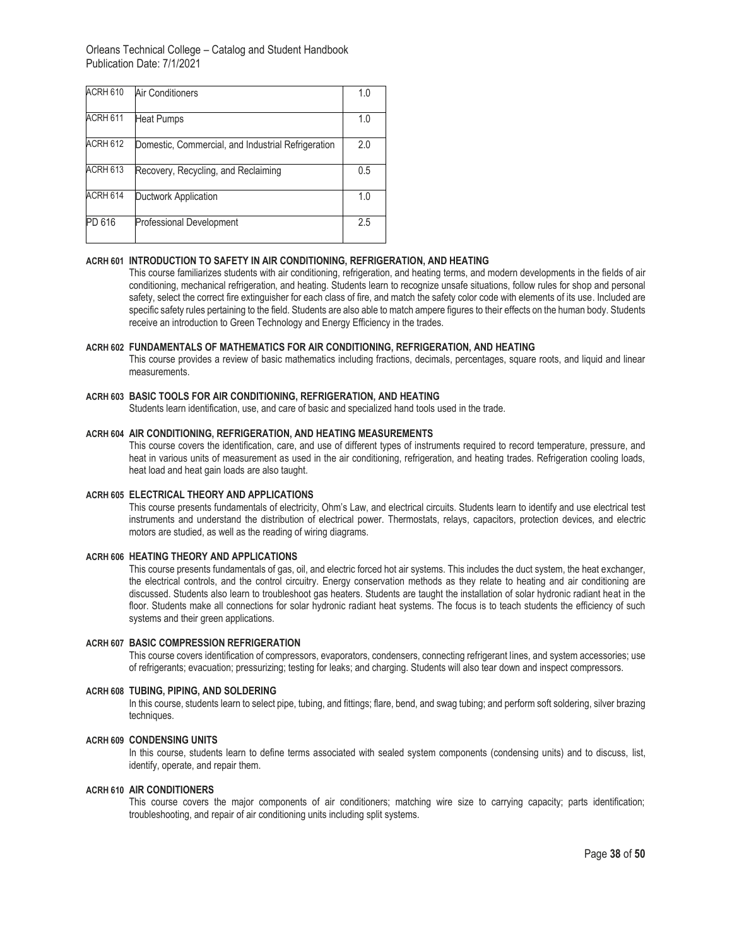| ACRH 610 | Air Conditioners                                   | 1.0 |
|----------|----------------------------------------------------|-----|
| ACRH 611 | <b>Heat Pumps</b>                                  | 1.0 |
| ACRH 612 | Domestic, Commercial, and Industrial Refrigeration | 2.0 |
| ACRH 613 | Recovery, Recycling, and Reclaiming                | 0.5 |
| ACRH 614 | Ductwork Application                               | 1.0 |
| PD 616   | <b>Professional Development</b>                    | 2.5 |

#### **ACRH 601 INTRODUCTION TO SAFETY IN AIR CONDITIONING, REFRIGERATION, AND HEATING**

This course familiarizes students with air conditioning, refrigeration, and heating terms, and modern developments in the fields of air conditioning, mechanical refrigeration, and heating. Students learn to recognize unsafe situations, follow rules for shop and personal safety, select the correct fire extinguisher for each class of fire, and match the safety color code with elements of its use. Included are specific safety rules pertaining to the field. Students are also able to match ampere figures to their effects on the human body. Students receive an introduction to Green Technology and Energy Efficiency in the trades.

#### **ACRH 602 FUNDAMENTALS OF MATHEMATICS FOR AIR CONDITIONING, REFRIGERATION, AND HEATING**

This course provides a review of basic mathematics including fractions, decimals, percentages, square roots, and liquid and linear measurements.

#### **ACRH 603 BASIC TOOLS FOR AIR CONDITIONING, REFRIGERATION, AND HEATING**

Students learn identification, use, and care of basic and specialized hand tools used in the trade.

#### **ACRH 604 AIR CONDITIONING, REFRIGERATION, AND HEATING MEASUREMENTS**

This course covers the identification, care, and use of different types of instruments required to record temperature, pressure, and heat in various units of measurement as used in the air conditioning, refrigeration, and heating trades. Refrigeration cooling loads, heat load and heat gain loads are also taught.

#### **ACRH 605 ELECTRICAL THEORY AND APPLICATIONS**

This course presents fundamentals of electricity, Ohm's Law, and electrical circuits. Students learn to identify and use electrical test instruments and understand the distribution of electrical power. Thermostats, relays, capacitors, protection devices, and electric motors are studied, as well as the reading of wiring diagrams.

#### **ACRH 606 HEATING THEORY AND APPLICATIONS**

This course presents fundamentals of gas, oil, and electric forced hot air systems. This includes the duct system, the heat exchanger, the electrical controls, and the control circuitry. Energy conservation methods as they relate to heating and air conditioning are discussed. Students also learn to troubleshoot gas heaters. Students are taught the installation of solar hydronic radiant heat in the floor. Students make all connections for solar hydronic radiant heat systems. The focus is to teach students the efficiency of such systems and their green applications.

#### **ACRH 607 BASIC COMPRESSION REFRIGERATION**

This course covers identification of compressors, evaporators, condensers, connecting refrigerant lines, and system accessories; use of refrigerants; evacuation; pressurizing; testing for leaks; and charging. Students will also tear down and inspect compressors.

#### **ACRH 608 TUBING, PIPING, AND SOLDERING**

In this course, students learn to select pipe, tubing, and fittings; flare, bend, and swag tubing; and perform soft soldering, silver brazing techniques.

#### **ACRH 609 CONDENSING UNITS**

In this course, students learn to define terms associated with sealed system components (condensing units) and to discuss, list, identify, operate, and repair them.

#### **ACRH 610 AIR CONDITIONERS**

This course covers the major components of air conditioners; matching wire size to carrying capacity; parts identification; troubleshooting, and repair of air conditioning units including split systems.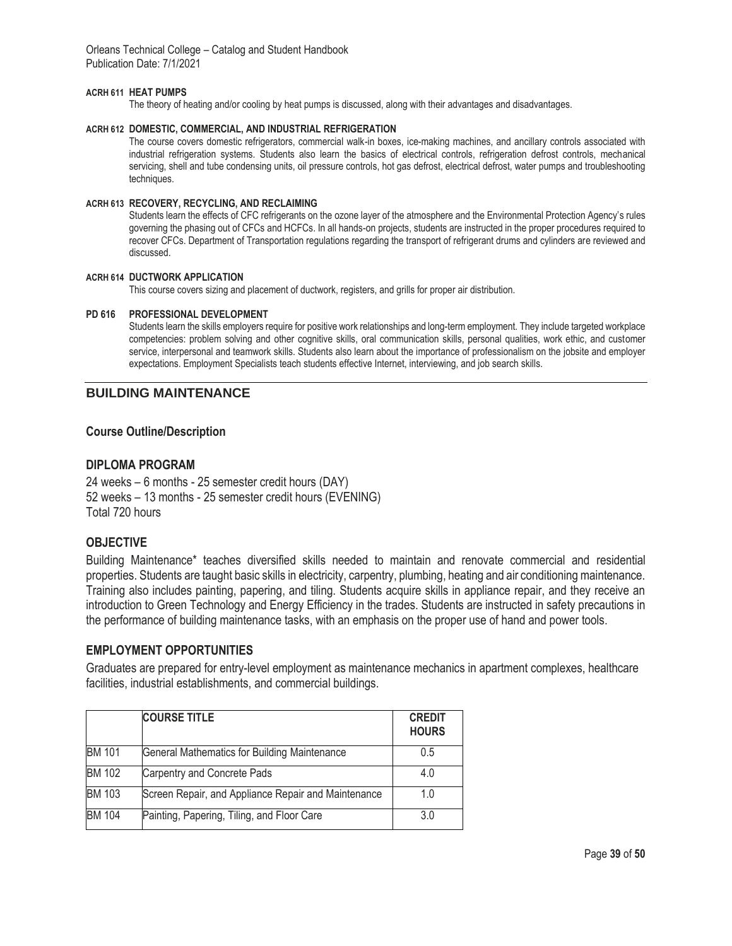#### **ACRH 611 HEAT PUMPS**

The theory of heating and/or cooling by heat pumps is discussed, along with their advantages and disadvantages.

#### **ACRH 612 DOMESTIC, COMMERCIAL, AND INDUSTRIAL REFRIGERATION**

The course covers domestic refrigerators, commercial walk-in boxes, ice-making machines, and ancillary controls associated with industrial refrigeration systems. Students also learn the basics of electrical controls, refrigeration defrost controls, mechanical servicing, shell and tube condensing units, oil pressure controls, hot gas defrost, electrical defrost, water pumps and troubleshooting techniques.

#### **ACRH 613 RECOVERY, RECYCLING, AND RECLAIMING**

Students learn the effects of CFC refrigerants on the ozone layer of the atmosphere and the Environmental Protection Agency's rules governing the phasing out of CFCs and HCFCs. In all hands-on projects, students are instructed in the proper procedures required to recover CFCs. Department of Transportation regulations regarding the transport of refrigerant drums and cylinders are reviewed and discussed.

#### **ACRH 614 DUCTWORK APPLICATION**

This course covers sizing and placement of ductwork, registers, and grills for proper air distribution.

#### **PD 616 PROFESSIONAL DEVELOPMENT**

Students learn the skills employers require for positive work relationships and long-term employment. They include targeted workplace competencies: problem solving and other cognitive skills, oral communication skills, personal qualities, work ethic, and customer service, interpersonal and teamwork skills. Students also learn about the importance of professionalism on the jobsite and employer expectations. Employment Specialists teach students effective Internet, interviewing, and job search skills.

## **BUILDING MAINTENANCE**

#### **Course Outline/Description**

#### **DIPLOMA PROGRAM**

24 weeks – 6 months - 25 semester credit hours (DAY) 52 weeks – 13 months - 25 semester credit hours (EVENING) Total 720 hours

#### **OBJECTIVE**

Building Maintenance\* teaches diversified skills needed to maintain and renovate commercial and residential properties. Students are taught basic skills in electricity, carpentry, plumbing, heating and air conditioning maintenance. Training also includes painting, papering, and tiling. Students acquire skills in appliance repair, and they receive an introduction to Green Technology and Energy Efficiency in the trades. Students are instructed in safety precautions in the performance of building maintenance tasks, with an emphasis on the proper use of hand and power tools.

#### **EMPLOYMENT OPPORTUNITIES**

Graduates are prepared for entry-level employment as maintenance mechanics in apartment complexes, healthcare facilities, industrial establishments, and commercial buildings.

|               | <b>COURSE TITLE</b>                                 | <b>CREDIT</b><br><b>HOURS</b> |
|---------------|-----------------------------------------------------|-------------------------------|
| <b>BM 101</b> | General Mathematics for Building Maintenance        | 0.5                           |
| <b>BM 102</b> | Carpentry and Concrete Pads                         | 4.0                           |
| <b>BM 103</b> | Screen Repair, and Appliance Repair and Maintenance | 1.0                           |
| <b>BM 104</b> | Painting, Papering, Tiling, and Floor Care          | 3.0                           |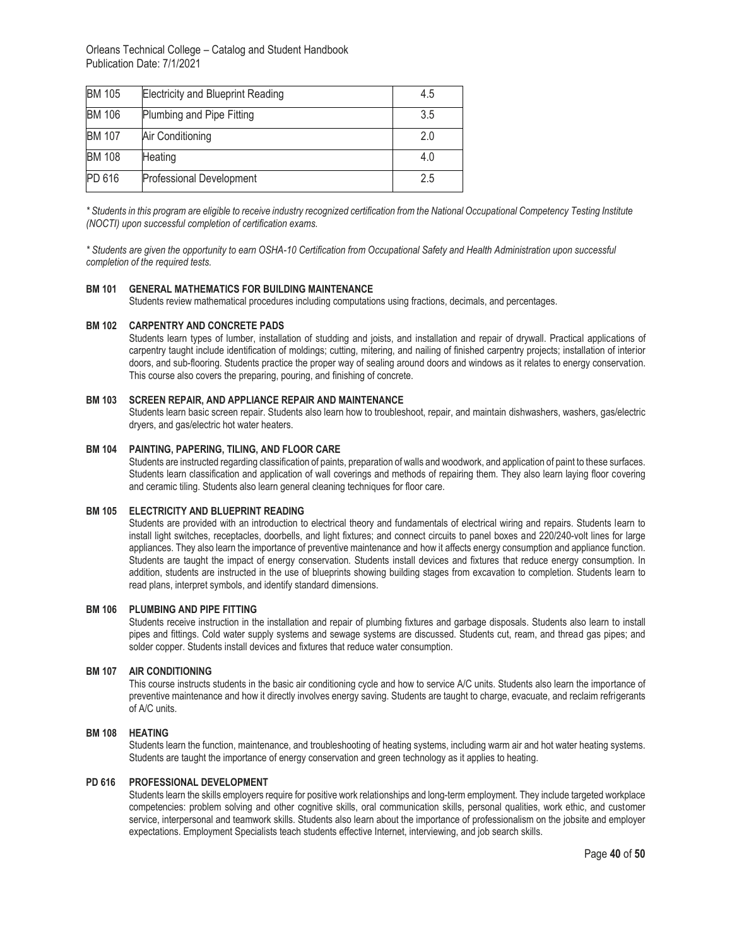| <b>BM 105</b> | <b>Electricity and Blueprint Reading</b> | 4.5 |
|---------------|------------------------------------------|-----|
| <b>BM 106</b> | Plumbing and Pipe Fitting                | 3.5 |
| <b>BM 107</b> | Air Conditioning                         | 2.0 |
| <b>BM 108</b> | Heating                                  | 4.0 |
| PD 616        | Professional Development                 | 2.5 |

*\* Students in this program are eligible to receive industry recognized certification from the National Occupational Competency Testing Institute (NOCTI) upon successful completion of certification exams.*

*\* Students are given the opportunity to earn OSHA-10 Certification from Occupational Safety and Health Administration upon successful completion of the required tests.* 

#### **BM 101 GENERAL MATHEMATICS FOR BUILDING MAINTENANCE**

Students review mathematical procedures including computations using fractions, decimals, and percentages.

#### **BM 102 CARPENTRY AND CONCRETE PADS**

Students learn types of lumber, installation of studding and joists, and installation and repair of drywall. Practical applications of carpentry taught include identification of moldings; cutting, mitering, and nailing of finished carpentry projects; installation of interior doors, and sub-flooring. Students practice the proper way of sealing around doors and windows as it relates to energy conservation. This course also covers the preparing, pouring, and finishing of concrete.

#### **BM 103 SCREEN REPAIR, AND APPLIANCE REPAIR AND MAINTENANCE**

Students learn basic screen repair. Students also learn how to troubleshoot, repair, and maintain dishwashers, washers, gas/electric dryers, and gas/electric hot water heaters.

#### **BM 104 PAINTING, PAPERING, TILING, AND FLOOR CARE**

Students are instructed regarding classification of paints, preparation of walls and woodwork, and application of paint to these surfaces. Students learn classification and application of wall coverings and methods of repairing them. They also learn laying floor covering and ceramic tiling. Students also learn general cleaning techniques for floor care.

#### **BM 105 ELECTRICITY AND BLUEPRINT READING**

Students are provided with an introduction to electrical theory and fundamentals of electrical wiring and repairs. Students learn to install light switches, receptacles, doorbells, and light fixtures; and connect circuits to panel boxes and 220/240-volt lines for large appliances. They also learn the importance of preventive maintenance and how it affects energy consumption and appliance function. Students are taught the impact of energy conservation. Students install devices and fixtures that reduce energy consumption. In addition, students are instructed in the use of blueprints showing building stages from excavation to completion. Students learn to read plans, interpret symbols, and identify standard dimensions.

#### **BM 106 PLUMBING AND PIPE FITTING**

Students receive instruction in the installation and repair of plumbing fixtures and garbage disposals. Students also learn to install pipes and fittings. Cold water supply systems and sewage systems are discussed. Students cut, ream, and thread gas pipes; and solder copper. Students install devices and fixtures that reduce water consumption.

#### **BM 107 AIR CONDITIONING**

This course instructs students in the basic air conditioning cycle and how to service A/C units. Students also learn the importance of preventive maintenance and how it directly involves energy saving. Students are taught to charge, evacuate, and reclaim refrigerants of A/C units.

#### **BM 108 HEATING**

Students learn the function, maintenance, and troubleshooting of heating systems, including warm air and hot water heating systems. Students are taught the importance of energy conservation and green technology as it applies to heating.

#### **PD 616 PROFESSIONAL DEVELOPMENT**

Students learn the skills employers require for positive work relationships and long-term employment. They include targeted workplace competencies: problem solving and other cognitive skills, oral communication skills, personal qualities, work ethic, and customer service, interpersonal and teamwork skills. Students also learn about the importance of professionalism on the jobsite and employer expectations. Employment Specialists teach students effective Internet, interviewing, and job search skills.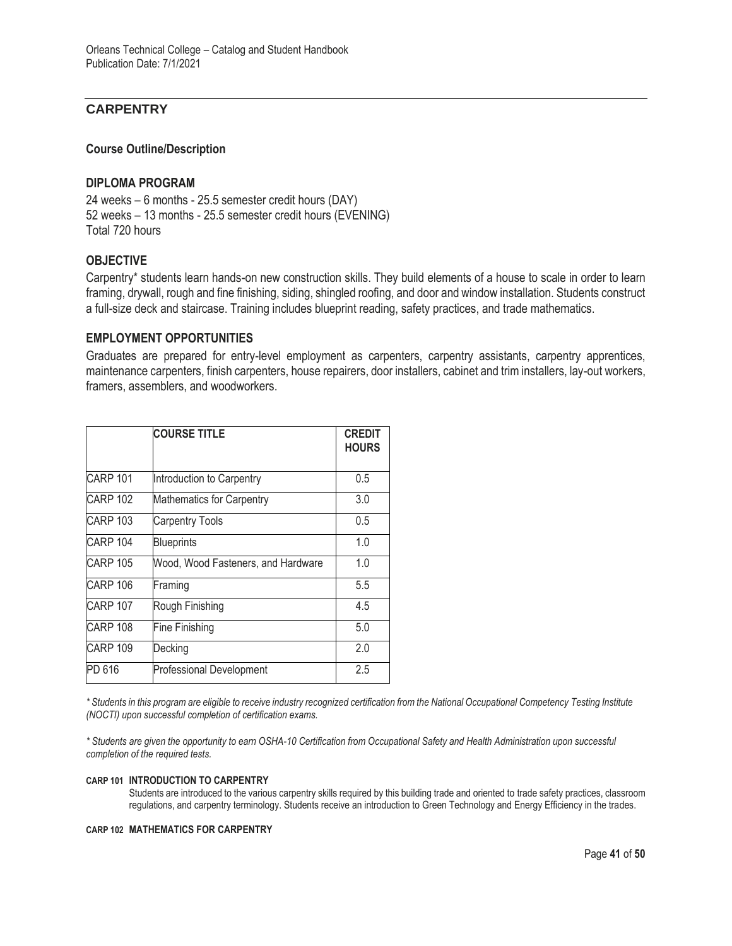## **CARPENTRY**

#### **Course Outline/Description**

#### **DIPLOMA PROGRAM**

24 weeks – 6 months - 25.5 semester credit hours (DAY) 52 weeks – 13 months - 25.5 semester credit hours (EVENING) Total 720 hours

### **OBJECTIVE**

Carpentry\* students learn hands-on new construction skills. They build elements of a house to scale in order to learn framing, drywall, rough and fine finishing, siding, shingled roofing, and door and window installation. Students construct a full-size deck and staircase. Training includes blueprint reading, safety practices, and trade mathematics.

#### **EMPLOYMENT OPPORTUNITIES**

Graduates are prepared for entry-level employment as carpenters, carpentry assistants, carpentry apprentices, maintenance carpenters, finish carpenters, house repairers, door installers, cabinet and trim installers, lay-out workers, framers, assemblers, and woodworkers.

|                 | <b>COURSE TITLE</b>                | <b>CREDIT</b><br><b>HOURS</b> |
|-----------------|------------------------------------|-------------------------------|
| CARP 101        | Introduction to Carpentry          | 0.5                           |
| <b>CARP 102</b> | <b>Mathematics for Carpentry</b>   | 3.0                           |
| <b>CARP 103</b> | <b>Carpentry Tools</b>             | 0.5                           |
| <b>CARP 104</b> | <b>Blueprints</b>                  | 1.0                           |
| <b>CARP 105</b> | Wood, Wood Fasteners, and Hardware | 1.0                           |
| <b>CARP 106</b> | Framing                            | 5.5                           |
| <b>CARP 107</b> | Rough Finishing                    | 4.5                           |
| <b>CARP 108</b> | Fine Finishing                     | 5.0                           |
| <b>CARP 109</b> | Decking                            | 2.0                           |
| PD 616          | Professional Development           | 2.5                           |

*\* Students in this program are eligible to receive industry recognized certification from the National Occupational Competency Testing Institute (NOCTI) upon successful completion of certification exams.*

*\* Students are given the opportunity to earn OSHA-10 Certification from Occupational Safety and Health Administration upon successful completion of the required tests.* 

#### **CARP 101 INTRODUCTION TO CARPENTRY**

Students are introduced to the various carpentry skills required by this building trade and oriented to trade safety practices, classroom regulations, and carpentry terminology. Students receive an introduction to Green Technology and Energy Efficiency in the trades.

#### **CARP 102 MATHEMATICS FOR CARPENTRY**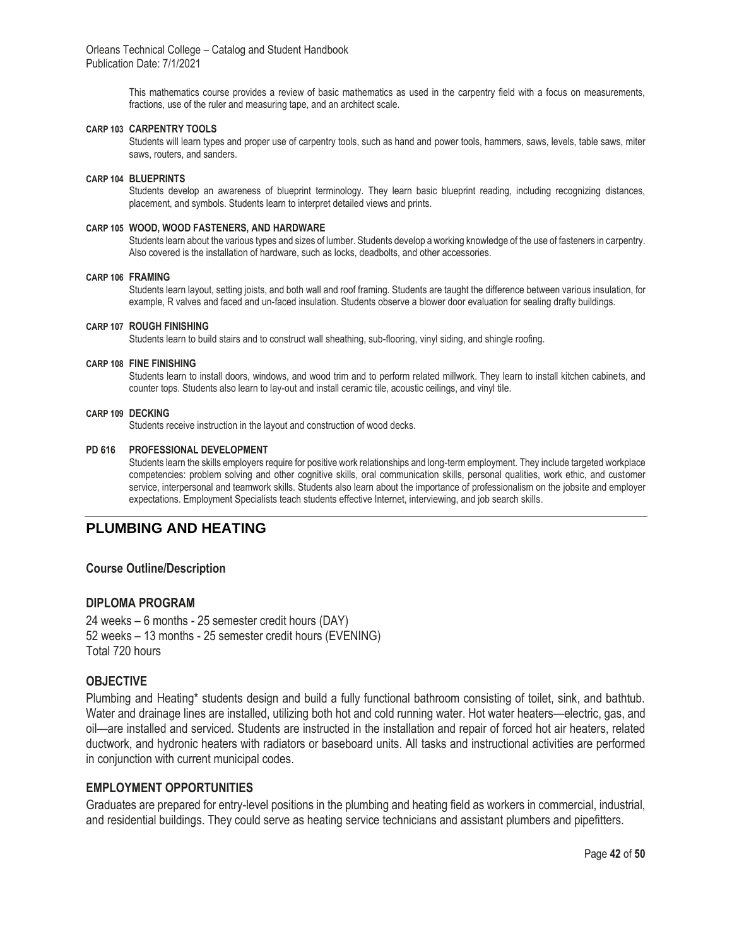> This mathematics course provides a review of basic mathematics as used in the carpentry field with a focus on measurements, fractions, use of the ruler and measuring tape, and an architect scale.

#### **CARP 103 CARPENTRY TOOLS**

Students will learn types and proper use of carpentry tools, such as hand and power tools, hammers, saws, levels, table saws, miter saws, routers, and sanders.

#### **CARP 104 BLUEPRINTS**

Students develop an awareness of blueprint terminology. They learn basic blueprint reading, including recognizing distances, placement, and symbols. Students learn to interpret detailed views and prints.

#### **CARP 105 WOOD, WOOD FASTENERS, AND HARDWARE**

Students learn about the various types and sizes of lumber. Students develop a working knowledge of the use of fasteners in carpentry. Also covered is the installation of hardware, such as locks, deadbolts, and other accessories.

#### **CARP 106 FRAMING**

Students learn layout, setting joists, and both wall and roof framing. Students are taught the difference between various insulation, for example, R valves and faced and un-faced insulation. Students observe a blower door evaluation for sealing drafty buildings.

#### **CARP 107 ROUGH FINISHING**

Students learn to build stairs and to construct wall sheathing, sub-flooring, vinyl siding, and shingle roofing.

#### **CARP 108 FINE FINISHING**

Students learn to install doors, windows, and wood trim and to perform related millwork. They learn to install kitchen cabinets, and counter tops. Students also learn to lay-out and install ceramic tile, acoustic ceilings, and vinyl tile.

#### **CARP 109 DECKING**

Students receive instruction in the layout and construction of wood decks.

#### **PD 616 PROFESSIONAL DEVELOPMENT**

Students learn the skills employers require for positive work relationships and long-term employment. They include targeted workplace competencies: problem solving and other cognitive skills, oral communication skills, personal qualities, work ethic, and customer service, interpersonal and teamwork skills. Students also learn about the importance of professionalism on the jobsite and employer expectations. Employment Specialists teach students effective Internet, interviewing, and job search skills.

## **PLUMBING AND HEATING**

#### **Course Outline/Description**

#### **DIPLOMA PROGRAM**

24 weeks – 6 months - 25 semester credit hours (DAY) 52 weeks – 13 months - 25 semester credit hours (EVENING) Total 720 hours

#### **OBJECTIVE**

Plumbing and Heating\* students design and build a fully functional bathroom consisting of toilet, sink, and bathtub. Water and drainage lines are installed, utilizing both hot and cold running water. Hot water heaters—electric, gas, and oil—are installed and serviced. Students are instructed in the installation and repair of forced hot air heaters, related ductwork, and hydronic heaters with radiators or baseboard units. All tasks and instructional activities are performed in conjunction with current municipal codes.

#### **EMPLOYMENT OPPORTUNITIES**

Graduates are prepared for entry-level positions in the plumbing and heating field as workers in commercial, industrial, and residential buildings. They could serve as heating service technicians and assistant plumbers and pipefitters.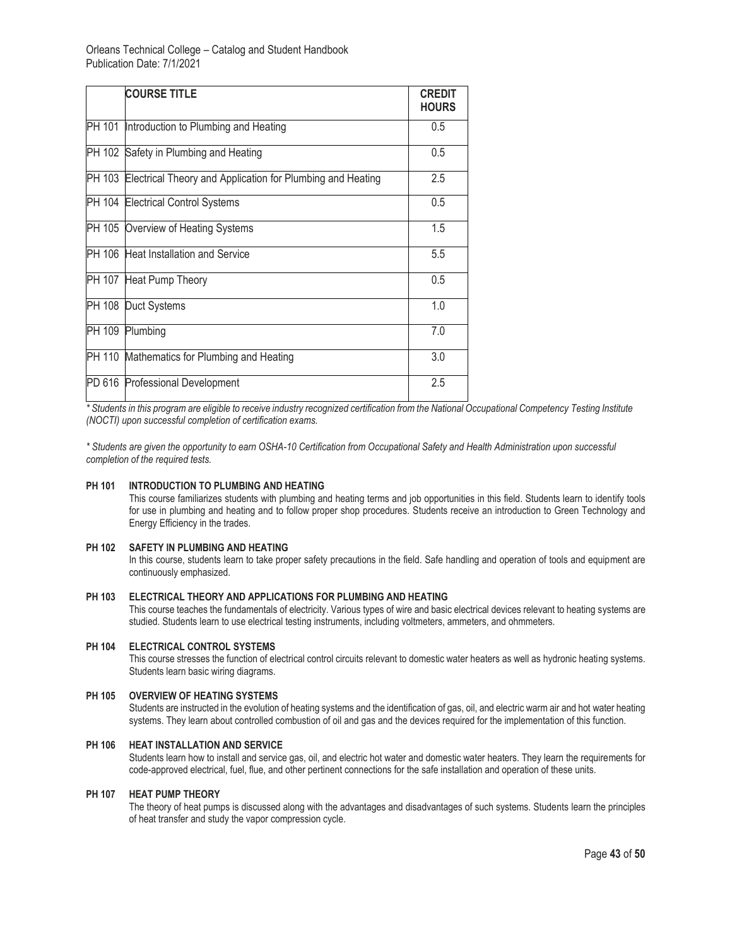| <b>COURSE TITLE</b>                                               | <b>CREDIT</b><br><b>HOURS</b> |
|-------------------------------------------------------------------|-------------------------------|
| PH 101 Introduction to Plumbing and Heating                       | 0.5                           |
| PH 102 Safety in Plumbing and Heating                             | 0.5                           |
| PH 103 Electrical Theory and Application for Plumbing and Heating | 2.5                           |
| PH 104 Electrical Control Systems                                 | 0.5                           |
| PH 105 Overview of Heating Systems                                | 1.5                           |
| PH 106 Heat Installation and Service                              | 5.5                           |
| PH 107 Heat Pump Theory                                           | 0.5                           |
| PH 108 Duct Systems                                               | 1.0                           |
| PH 109 Plumbing                                                   | 7.0                           |
| PH 110 Mathematics for Plumbing and Heating                       | 3.0                           |
| PD 616 Professional Development                                   | 2.5                           |

*\* Students in this program are eligible to receive industry recognized certification from the National Occupational Competency Testing Institute (NOCTI) upon successful completion of certification exams.*

*\* Students are given the opportunity to earn OSHA-10 Certification from Occupational Safety and Health Administration upon successful completion of the required tests.* 

#### **PH 101 INTRODUCTION TO PLUMBING AND HEATING**

This course familiarizes students with plumbing and heating terms and job opportunities in this field. Students learn to identify tools for use in plumbing and heating and to follow proper shop procedures. Students receive an introduction to Green Technology and Energy Efficiency in the trades.

#### **PH 102 SAFETY IN PLUMBING AND HEATING**

In this course, students learn to take proper safety precautions in the field. Safe handling and operation of tools and equipment are continuously emphasized.

#### **PH 103 ELECTRICAL THEORY AND APPLICATIONS FOR PLUMBING AND HEATING**

This course teaches the fundamentals of electricity. Various types of wire and basic electrical devices relevant to heating systems are studied. Students learn to use electrical testing instruments, including voltmeters, ammeters, and ohmmeters.

#### **PH 104 ELECTRICAL CONTROL SYSTEMS**

This course stresses the function of electrical control circuits relevant to domestic water heaters as well as hydronic heating systems. Students learn basic wiring diagrams.

#### **PH 105 OVERVIEW OF HEATING SYSTEMS**

Students are instructed in the evolution of heating systems and the identification of gas, oil, and electric warm air and hot water heating systems. They learn about controlled combustion of oil and gas and the devices required for the implementation of this function.

#### **PH 106 HEAT INSTALLATION AND SERVICE**

Students learn how to install and service gas, oil, and electric hot water and domestic water heaters. They learn the requirements for code-approved electrical, fuel, flue, and other pertinent connections for the safe installation and operation of these units.

#### **PH 107 HEAT PUMP THEORY**

The theory of heat pumps is discussed along with the advantages and disadvantages of such systems. Students learn the principles of heat transfer and study the vapor compression cycle.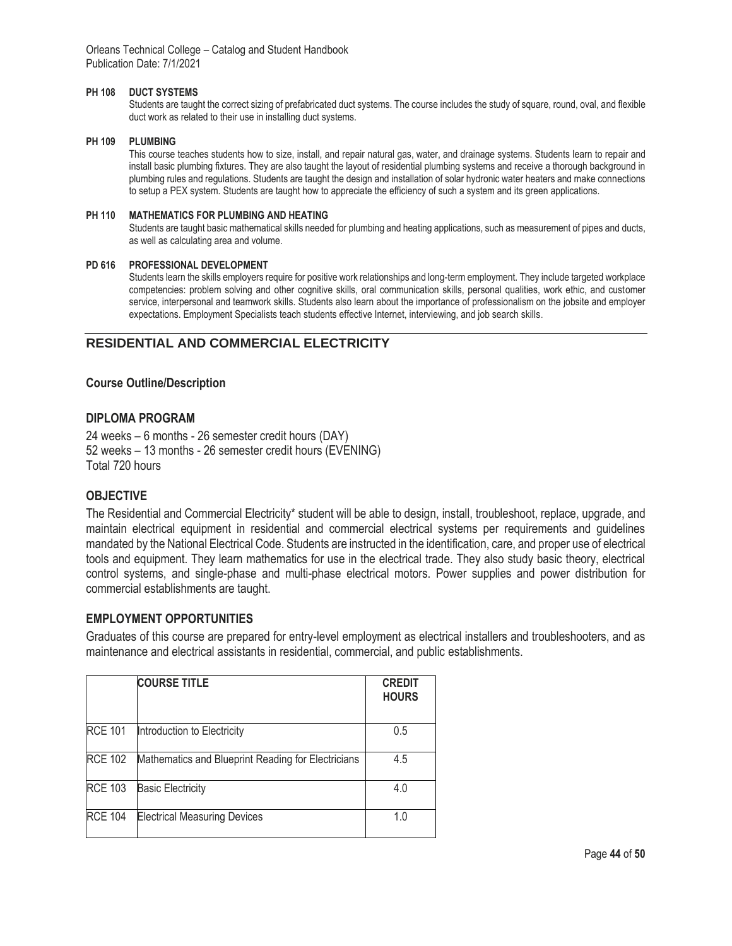#### **PH 108 DUCT SYSTEMS**

Students are taught the correct sizing of prefabricated duct systems. The course includes the study of square, round, oval, and flexible duct work as related to their use in installing duct systems.

#### **PH 109 PLUMBING**

This course teaches students how to size, install, and repair natural gas, water, and drainage systems. Students learn to repair and install basic plumbing fixtures. They are also taught the layout of residential plumbing systems and receive a thorough background in plumbing rules and regulations. Students are taught the design and installation of solar hydronic water heaters and make connections to setup a PEX system. Students are taught how to appreciate the efficiency of such a system and its green applications.

#### **PH 110 MATHEMATICS FOR PLUMBING AND HEATING**

Students are taught basic mathematical skills needed for plumbing and heating applications, such as measurement of pipes and ducts, as well as calculating area and volume.

#### **PD 616 PROFESSIONAL DEVELOPMENT**

Students learn the skills employers require for positive work relationships and long-term employment. They include targeted workplace competencies: problem solving and other cognitive skills, oral communication skills, personal qualities, work ethic, and customer service, interpersonal and teamwork skills. Students also learn about the importance of professionalism on the jobsite and employer expectations. Employment Specialists teach students effective Internet, interviewing, and job search skills.

## **RESIDENTIAL AND COMMERCIAL ELECTRICITY**

#### **Course Outline/Description**

#### **DIPLOMA PROGRAM**

24 weeks – 6 months - 26 semester credit hours (DAY) 52 weeks – 13 months - 26 semester credit hours (EVENING) Total 720 hours

### **OBJECTIVE**

The Residential and Commercial Electricity\* student will be able to design, install, troubleshoot, replace, upgrade, and maintain electrical equipment in residential and commercial electrical systems per requirements and guidelines mandated by the National Electrical Code. Students are instructed in the identification, care, and proper use of electrical tools and equipment. They learn mathematics for use in the electrical trade. They also study basic theory, electrical control systems, and single-phase and multi-phase electrical motors. Power supplies and power distribution for commercial establishments are taught.

### **EMPLOYMENT OPPORTUNITIES**

Graduates of this course are prepared for entry-level employment as electrical installers and troubleshooters, and as maintenance and electrical assistants in residential, commercial, and public establishments.

|                | <b>COURSE TITLE</b>                                | <b>CREDIT</b><br><b>HOURS</b> |
|----------------|----------------------------------------------------|-------------------------------|
| <b>RCE 101</b> | Introduction to Electricity                        | 0.5                           |
| <b>RCE 102</b> | Mathematics and Blueprint Reading for Electricians | 4.5                           |
| <b>RCE 103</b> | <b>Basic Electricity</b>                           | 4.0                           |
| <b>RCE 104</b> | <b>Electrical Measuring Devices</b>                | 1.0                           |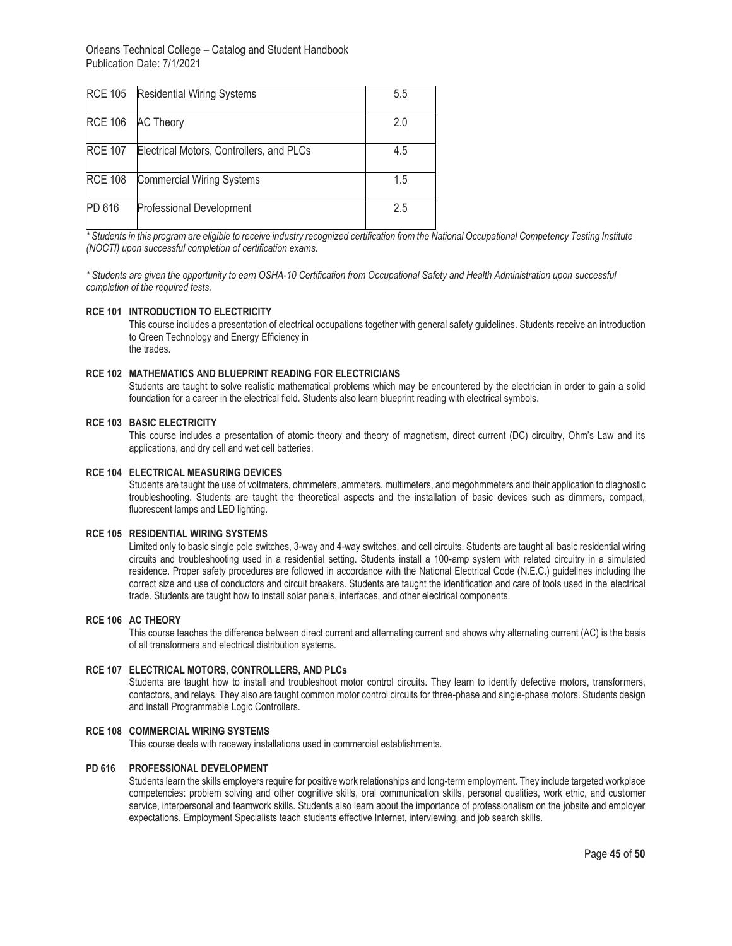| <b>RCE 105</b> | <b>Residential Wiring Systems</b>        | 5.5 |
|----------------|------------------------------------------|-----|
| <b>RCE 106</b> | <b>AC Theory</b>                         | 2.0 |
| <b>RCE 107</b> | Electrical Motors, Controllers, and PLCs | 4.5 |
| <b>RCE 108</b> | <b>Commercial Wiring Systems</b>         | 1.5 |
| PD 616         | <b>Professional Development</b>          | 2.5 |

*\* Students in this program are eligible to receive industry recognized certification from the National Occupational Competency Testing Institute (NOCTI) upon successful completion of certification exams.*

*\* Students are given the opportunity to earn OSHA-10 Certification from Occupational Safety and Health Administration upon successful completion of the required tests.* 

#### **RCE 101 INTRODUCTION TO ELECTRICITY**

This course includes a presentation of electrical occupations together with general safety guidelines. Students receive an introduction to Green Technology and Energy Efficiency in the trades.

#### **RCE 102 MATHEMATICS AND BLUEPRINT READING FOR ELECTRICIANS**

Students are taught to solve realistic mathematical problems which may be encountered by the electrician in order to gain a solid foundation for a career in the electrical field. Students also learn blueprint reading with electrical symbols.

#### **RCE 103 BASIC ELECTRICITY**

This course includes a presentation of atomic theory and theory of magnetism, direct current (DC) circuitry, Ohm's Law and its applications, and dry cell and wet cell batteries.

#### **RCE 104 ELECTRICAL MEASURING DEVICES**

Students are taught the use of voltmeters, ohmmeters, ammeters, multimeters, and megohmmeters and their application to diagnostic troubleshooting. Students are taught the theoretical aspects and the installation of basic devices such as dimmers, compact, fluorescent lamps and LED lighting.

#### **RCE 105 RESIDENTIAL WIRING SYSTEMS**

Limited only to basic single pole switches, 3-way and 4-way switches, and cell circuits. Students are taught all basic residential wiring circuits and troubleshooting used in a residential setting. Students install a 100-amp system with related circuitry in a simulated residence. Proper safety procedures are followed in accordance with the National Electrical Code (N.E.C.) guidelines including the correct size and use of conductors and circuit breakers. Students are taught the identification and care of tools used in the electrical trade. Students are taught how to install solar panels, interfaces, and other electrical components.

#### **RCE 106 AC THEORY**

This course teaches the difference between direct current and alternating current and shows why alternating current (AC) is the basis of all transformers and electrical distribution systems.

#### **RCE 107 ELECTRICAL MOTORS, CONTROLLERS, AND PLCs**

Students are taught how to install and troubleshoot motor control circuits. They learn to identify defective motors, transformers, contactors, and relays. They also are taught common motor control circuits for three-phase and single-phase motors. Students design and install Programmable Logic Controllers.

#### **RCE 108 COMMERCIAL WIRING SYSTEMS**

This course deals with raceway installations used in commercial establishments.

#### **PD 616 PROFESSIONAL DEVELOPMENT**

Students learn the skills employers require for positive work relationships and long-term employment. They include targeted workplace competencies: problem solving and other cognitive skills, oral communication skills, personal qualities, work ethic, and customer service, interpersonal and teamwork skills. Students also learn about the importance of professionalism on the jobsite and employer expectations. Employment Specialists teach students effective Internet, interviewing, and job search skills.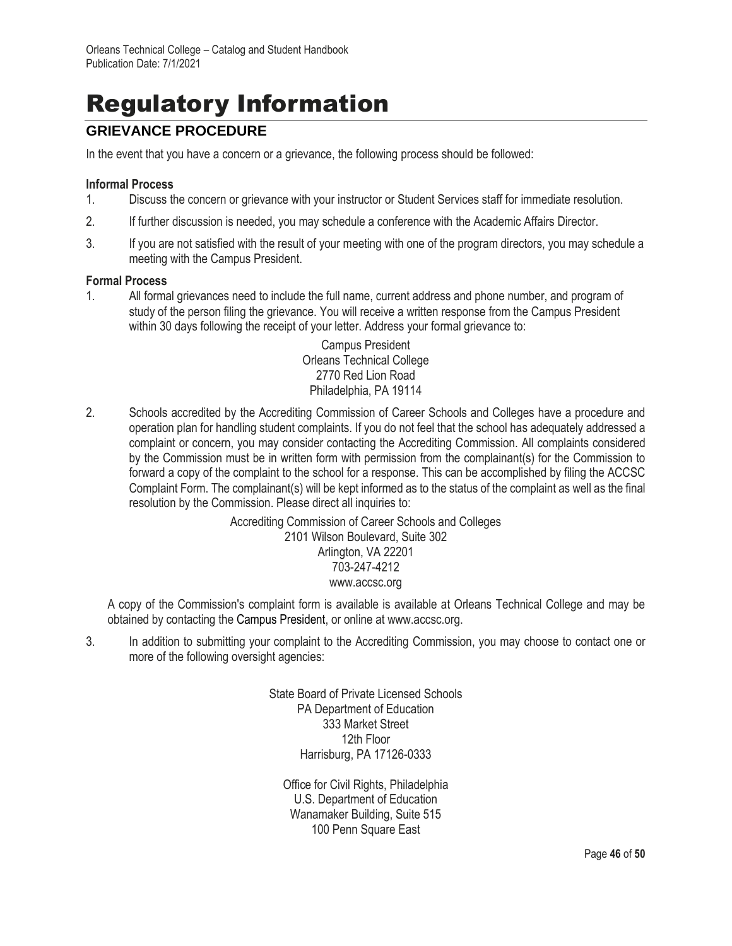# Regulatory Information

# **GRIEVANCE PROCEDURE**

In the event that you have a concern or a grievance, the following process should be followed:

#### **Informal Process**

- 1. Discuss the concern or grievance with your instructor or Student Services staff for immediate resolution.
- 2. If further discussion is needed, you may schedule a conference with the Academic Affairs Director.
- 3. If you are not satisfied with the result of your meeting with one of the program directors, you may schedule a meeting with the Campus President.

#### **Formal Process**

1. All formal grievances need to include the full name, current address and phone number, and program of study of the person filing the grievance. You will receive a written response from the Campus President within 30 days following the receipt of your letter. Address your formal grievance to:

> Campus President Orleans Technical College 2770 Red Lion Road Philadelphia, PA 19114

2. Schools accredited by the Accrediting Commission of Career Schools and Colleges have a procedure and operation plan for handling student complaints. If you do not feel that the school has adequately addressed a complaint or concern, you may consider contacting the Accrediting Commission. All complaints considered by the Commission must be in written form with permission from the complainant(s) for the Commission to forward a copy of the complaint to the school for a response. This can be accomplished by filing the ACCSC Complaint Form. The complainant(s) will be kept informed as to the status of the complaint as well as the final resolution by the Commission. Please direct all inquiries to:

> Accrediting Commission of Career Schools and Colleges 2101 Wilson Boulevard, Suite 302 Arlington, VA 22201 703-247-4212 www.accsc.org

A copy of the Commission's complaint form is available is available at Orleans Technical College and may be obtained by contacting the Campus President, or online at www.accsc.org.

3. In addition to submitting your complaint to the Accrediting Commission, you may choose to contact one or more of the following oversight agencies:

> State Board of Private Licensed Schools PA Department of Education 333 Market Street 12th Floor Harrisburg, PA 17126-0333

Office for Civil Rights, Philadelphia U.S. Department of Education Wanamaker Building, Suite 515 100 Penn Square East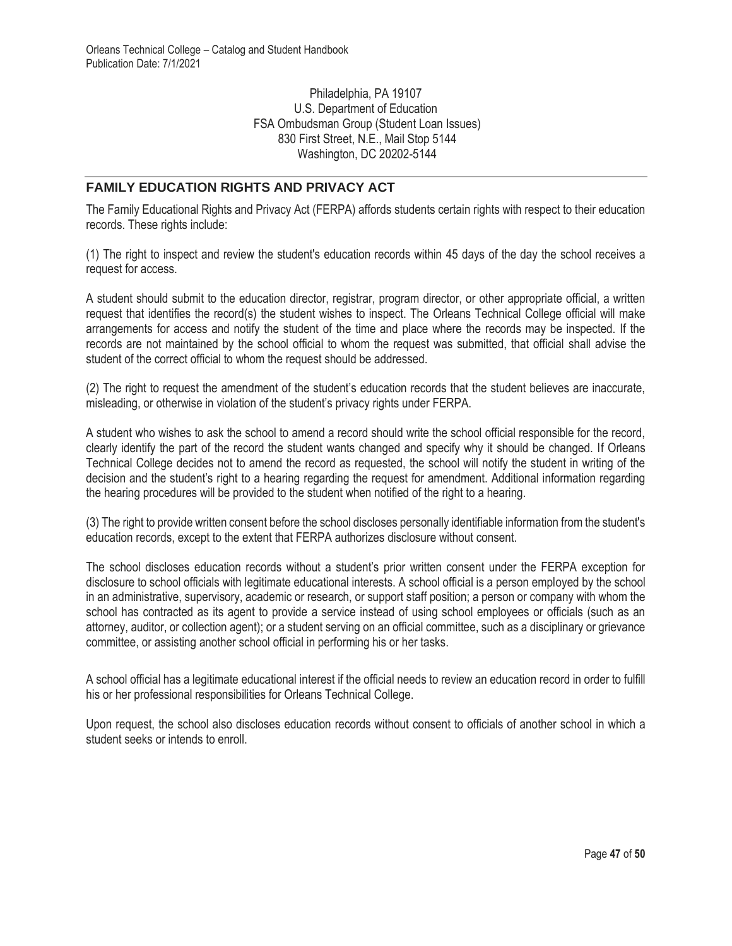Philadelphia, PA 19107 U.S. Department of Education FSA Ombudsman Group (Student Loan Issues) 830 First Street, N.E., Mail Stop 5144 Washington, DC 20202-5144

## **FAMILY EDUCATION RIGHTS AND PRIVACY ACT**

The Family Educational Rights and Privacy Act (FERPA) affords students certain rights with respect to their education records. These rights include:

(1) The right to inspect and review the student's education records within 45 days of the day the school receives a request for access.

A student should submit to the education director, registrar, program director, or other appropriate official, a written request that identifies the record(s) the student wishes to inspect. The Orleans Technical College official will make arrangements for access and notify the student of the time and place where the records may be inspected. If the records are not maintained by the school official to whom the request was submitted, that official shall advise the student of the correct official to whom the request should be addressed.

(2) The right to request the amendment of the student's education records that the student believes are inaccurate, misleading, or otherwise in violation of the student's privacy rights under FERPA.

A student who wishes to ask the school to amend a record should write the school official responsible for the record, clearly identify the part of the record the student wants changed and specify why it should be changed. If Orleans Technical College decides not to amend the record as requested, the school will notify the student in writing of the decision and the student's right to a hearing regarding the request for amendment. Additional information regarding the hearing procedures will be provided to the student when notified of the right to a hearing.

(3) The right to provide written consent before the school discloses personally identifiable information from the student's education records, except to the extent that FERPA authorizes disclosure without consent.

The school discloses education records without a student's prior written consent under the FERPA exception for disclosure to school officials with legitimate educational interests. A school official is a person employed by the school in an administrative, supervisory, academic or research, or support staff position; a person or company with whom the school has contracted as its agent to provide a service instead of using school employees or officials (such as an attorney, auditor, or collection agent); or a student serving on an official committee, such as a disciplinary or grievance committee, or assisting another school official in performing his or her tasks.

A school official has a legitimate educational interest if the official needs to review an education record in order to fulfill his or her professional responsibilities for Orleans Technical College.

Upon request, the school also discloses education records without consent to officials of another school in which a student seeks or intends to enroll.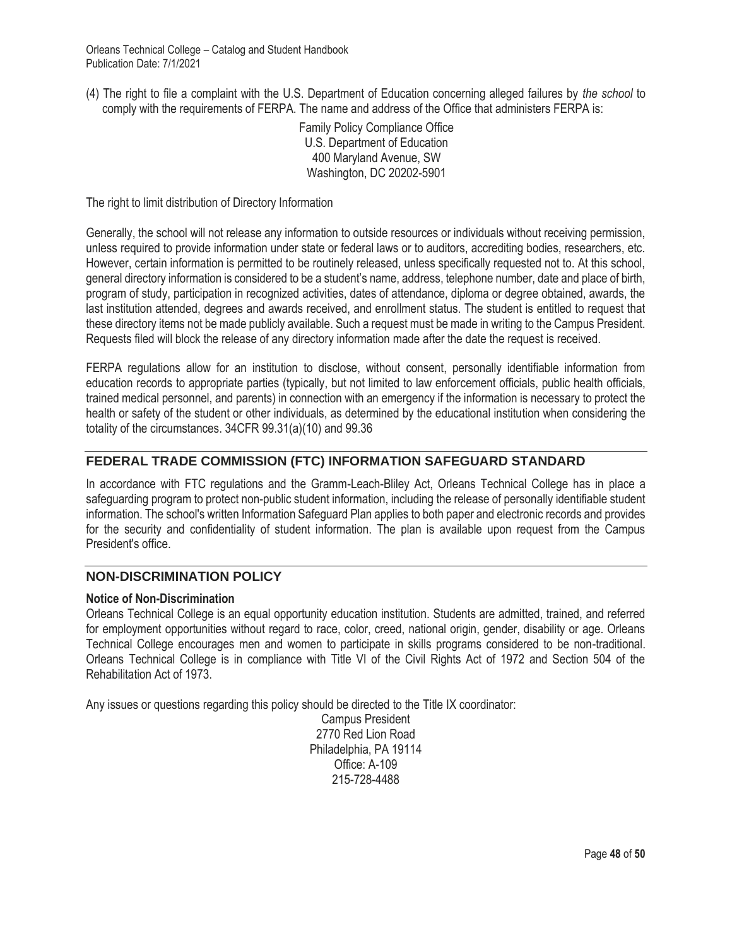(4) The right to file a complaint with the U.S. Department of Education concerning alleged failures by *the school* to comply with the requirements of FERPA. The name and address of the Office that administers FERPA is:

> Family Policy Compliance Office U.S. Department of Education 400 Maryland Avenue, SW Washington, DC 20202-5901

The right to limit distribution of Directory Information

Generally, the school will not release any information to outside resources or individuals without receiving permission, unless required to provide information under state or federal laws or to auditors, accrediting bodies, researchers, etc. However, certain information is permitted to be routinely released, unless specifically requested not to. At this school, general directory information is considered to be a student's name, address, telephone number, date and place of birth, program of study, participation in recognized activities, dates of attendance, diploma or degree obtained, awards, the last institution attended, degrees and awards received, and enrollment status. The student is entitled to request that these directory items not be made publicly available. Such a request must be made in writing to the Campus President. Requests filed will block the release of any directory information made after the date the request is received.

FERPA regulations allow for an institution to disclose, without consent, personally identifiable information from education records to appropriate parties (typically, but not limited to law enforcement officials, public health officials, trained medical personnel, and parents) in connection with an emergency if the information is necessary to protect the health or safety of the student or other individuals, as determined by the educational institution when considering the totality of the circumstances. 34CFR 99.31(a)(10) and 99.36

# **FEDERAL TRADE COMMISSION (FTC) INFORMATION SAFEGUARD STANDARD**

In accordance with FTC regulations and the Gramm-Leach-Bliley Act, Orleans Technical College has in place a safeguarding program to protect non-public student information, including the release of personally identifiable student information. The school's written Information Safeguard Plan applies to both paper and electronic records and provides for the security and confidentiality of student information. The plan is available upon request from the Campus President's office.

## **NON-DISCRIMINATION POLICY**

### **Notice of Non-Discrimination**

Orleans Technical College is an equal opportunity education institution. Students are admitted, trained, and referred for employment opportunities without regard to race, color, creed, national origin, gender, disability or age. Orleans Technical College encourages men and women to participate in skills programs considered to be non-traditional. Orleans Technical College is in compliance with Title VI of the Civil Rights Act of 1972 and Section 504 of the Rehabilitation Act of 1973.

Any issues or questions regarding this policy should be directed to the Title IX coordinator:

Campus President 2770 Red Lion Road Philadelphia, PA 19114 Office: A-109 215-728-4488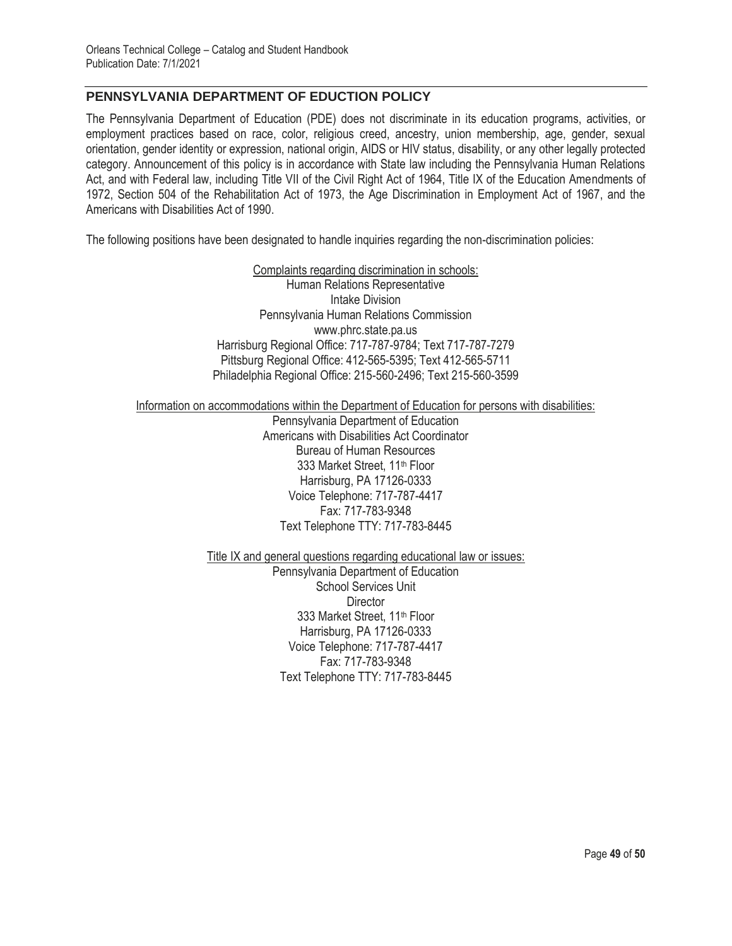## **PENNSYLVANIA DEPARTMENT OF EDUCTION POLICY**

The Pennsylvania Department of Education (PDE) does not discriminate in its education programs, activities, or employment practices based on race, color, religious creed, ancestry, union membership, age, gender, sexual orientation, gender identity or expression, national origin, AIDS or HIV status, disability, or any other legally protected category. Announcement of this policy is in accordance with State law including the Pennsylvania Human Relations Act, and with Federal law, including Title VII of the Civil Right Act of 1964, Title IX of the Education Amendments of 1972, Section 504 of the Rehabilitation Act of 1973, the Age Discrimination in Employment Act of 1967, and the Americans with Disabilities Act of 1990.

The following positions have been designated to handle inquiries regarding the non-discrimination policies:

Complaints regarding discrimination in schools: Human Relations Representative Intake Division Pennsylvania Human Relations Commission www.phrc.state.pa.us Harrisburg Regional Office: 717-787-9784; Text 717-787-7279 Pittsburg Regional Office: 412-565-5395; Text 412-565-5711 Philadelphia Regional Office: 215-560-2496; Text 215-560-3599

Information on accommodations within the Department of Education for persons with disabilities:

Pennsylvania Department of Education Americans with Disabilities Act Coordinator Bureau of Human Resources 333 Market Street, 11th Floor Harrisburg, PA 17126-0333 Voice Telephone: 717-787-4417 Fax: 717-783-9348 Text Telephone TTY: 717-783-8445

Title IX and general questions regarding educational law or issues:

Pennsylvania Department of Education School Services Unit **Director** 333 Market Street, 11th Floor Harrisburg, PA 17126-0333 Voice Telephone: 717-787-4417 Fax: 717-783-9348 Text Telephone TTY: 717-783-8445